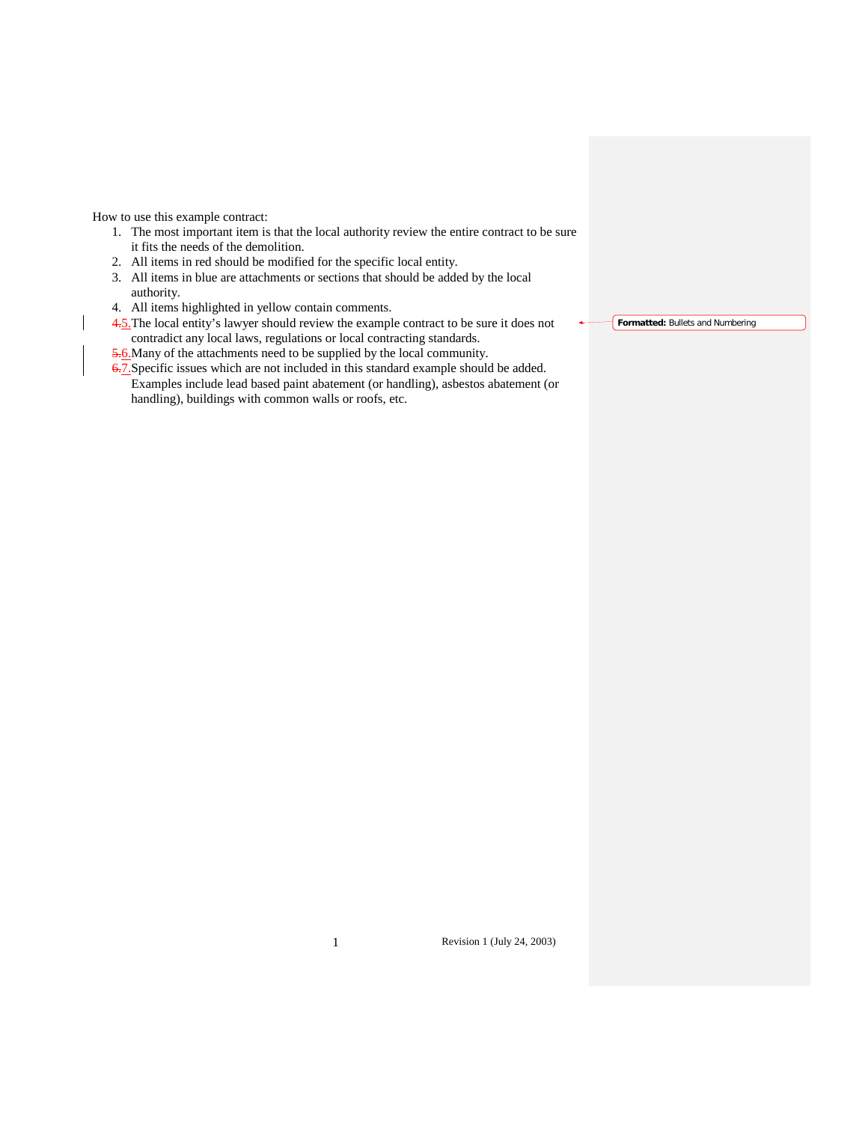How to use this example contract:

- 1. The most important item is that the local authority review the entire contract to be sure it fits the needs of the demolition.
- 2. All items in red should be modified for the specific local entity.
- 3. All items in blue are attachments or sections that should be added by the local authority.
- 4. All items highlighted in yellow contain comments.
- 4.5.The local entity's lawyer should review the example contract to be sure it does not contradict any local laws, regulations or local contracting standards.
- 5.6. Many of the attachments need to be supplied by the local community.

6.7. Specific issues which are not included in this standard example should be added. Examples include lead based paint abatement (or handling), asbestos abatement (or handling), buildings with common walls or roofs, etc.

**Formatted:** Bullets and Numbering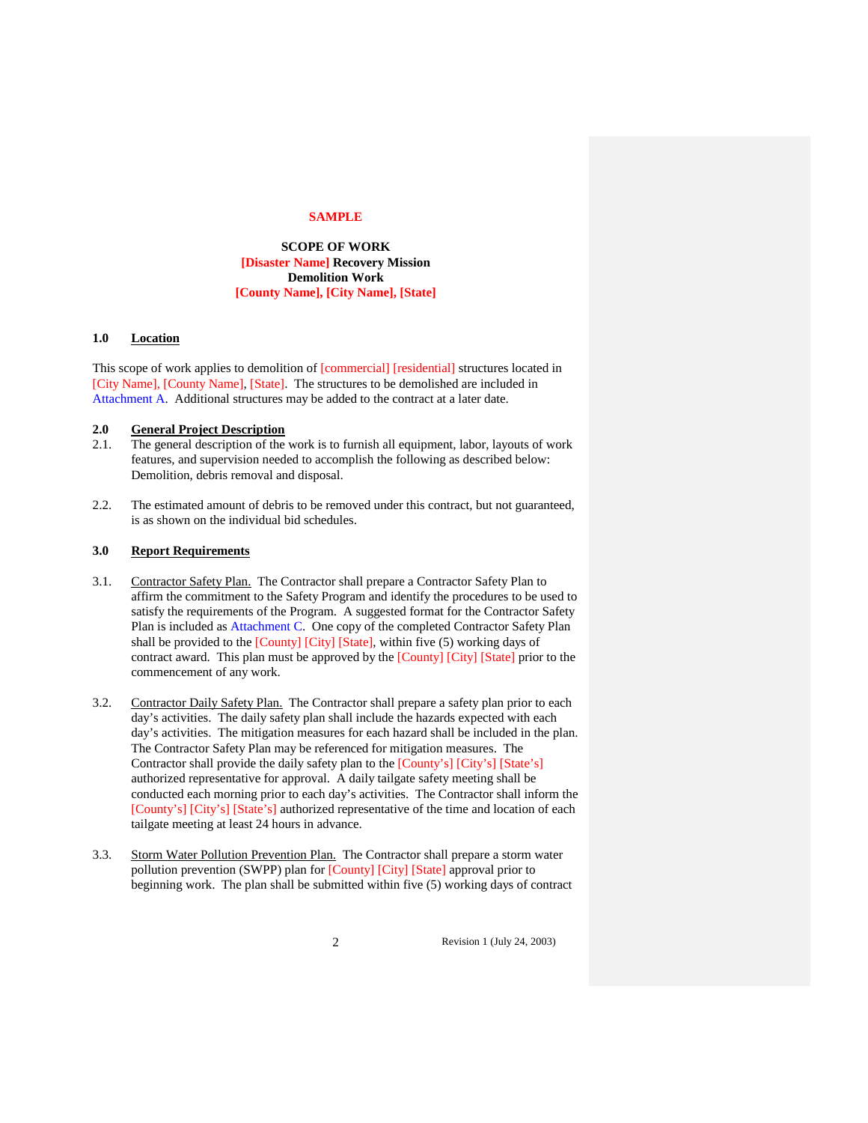#### **SAMPLE**

**SCOPE OF WORK [Disaster Name] Recovery Mission Demolition Work [County Name], [City Name], [State]**

# **1.0 Location**

This scope of work applies to demolition of [commercial] [residential] structures located in [City Name], [County Name], [State]. The structures to be demolished are included in Attachment A. Additional structures may be added to the contract at a later date.

# **2.0 General Project Description**

- 2.1. The general description of the work is to furnish all equipment, labor, layouts of work features, and supervision needed to accomplish the following as described below: Demolition, debris removal and disposal.
- 2.2. The estimated amount of debris to be removed under this contract, but not guaranteed, is as shown on the individual bid schedules.

# **3.0 Report Requirements**

- 3.1. Contractor Safety Plan. The Contractor shall prepare a Contractor Safety Plan to affirm the commitment to the Safety Program and identify the procedures to be used to satisfy the requirements of the Program. A suggested format for the Contractor Safety Plan is included as Attachment C. One copy of the completed Contractor Safety Plan shall be provided to the [County] [City] [State], within five (5) working days of contract award. This plan must be approved by the [County] [City] [State] prior to the commencement of any work.
- 3.2. Contractor Daily Safety Plan. The Contractor shall prepare a safety plan prior to each day's activities. The daily safety plan shall include the hazards expected with each day's activities. The mitigation measures for each hazard shall be included in the plan. The Contractor Safety Plan may be referenced for mitigation measures. The Contractor shall provide the daily safety plan to the [County's] [City's] [State's] authorized representative for approval. A daily tailgate safety meeting shall be conducted each morning prior to each day's activities. The Contractor shall inform the [County's] [City's] [State's] authorized representative of the time and location of each tailgate meeting at least 24 hours in advance.
- 3.3. Storm Water Pollution Prevention Plan. The Contractor shall prepare a storm water pollution prevention (SWPP) plan for [County] [City] [State] approval prior to beginning work. The plan shall be submitted within five (5) working days of contract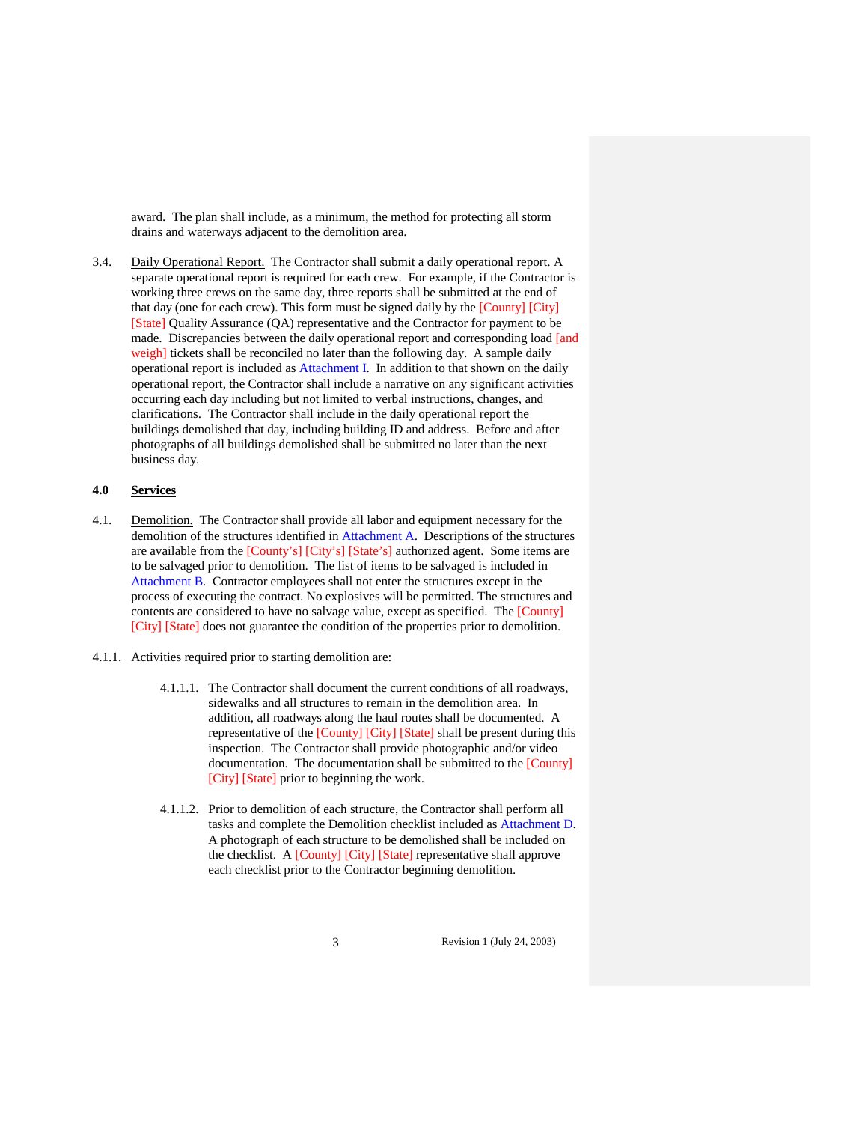award. The plan shall include, as a minimum, the method for protecting all storm drains and waterways adjacent to the demolition area.

3.4. Daily Operational Report. The Contractor shall submit a daily operational report. A separate operational report is required for each crew. For example, if the Contractor is working three crews on the same day, three reports shall be submitted at the end of that day (one for each crew). This form must be signed daily by the [County] [City] [State] Quality Assurance (QA) representative and the Contractor for payment to be made. Discrepancies between the daily operational report and corresponding load [and weigh] tickets shall be reconciled no later than the following day. A sample daily operational report is included as Attachment I. In addition to that shown on the daily operational report, the Contractor shall include a narrative on any significant activities occurring each day including but not limited to verbal instructions, changes, and clarifications. The Contractor shall include in the daily operational report the buildings demolished that day, including building ID and address. Before and after photographs of all buildings demolished shall be submitted no later than the next business day.

# **4.0 Services**

- 4.1. Demolition. The Contractor shall provide all labor and equipment necessary for the demolition of the structures identified in Attachment A. Descriptions of the structures are available from the [County's] [City's] [State's] authorized agent. Some items are to be salvaged prior to demolition. The list of items to be salvaged is included in Attachment B. Contractor employees shall not enter the structures except in the process of executing the contract. No explosives will be permitted. The structures and contents are considered to have no salvage value, except as specified. The [County] [City] [State] does not guarantee the condition of the properties prior to demolition.
- 4.1.1. Activities required prior to starting demolition are:
	- 4.1.1.1. The Contractor shall document the current conditions of all roadways, sidewalks and all structures to remain in the demolition area. In addition, all roadways along the haul routes shall be documented. A representative of the [County] [City] [State] shall be present during this inspection. The Contractor shall provide photographic and/or video documentation. The documentation shall be submitted to the [County] [City] [State] prior to beginning the work.
	- 4.1.1.2. Prior to demolition of each structure, the Contractor shall perform all tasks and complete the Demolition checklist included as Attachment D. A photograph of each structure to be demolished shall be included on the checklist. A [County] [City] [State] representative shall approve each checklist prior to the Contractor beginning demolition.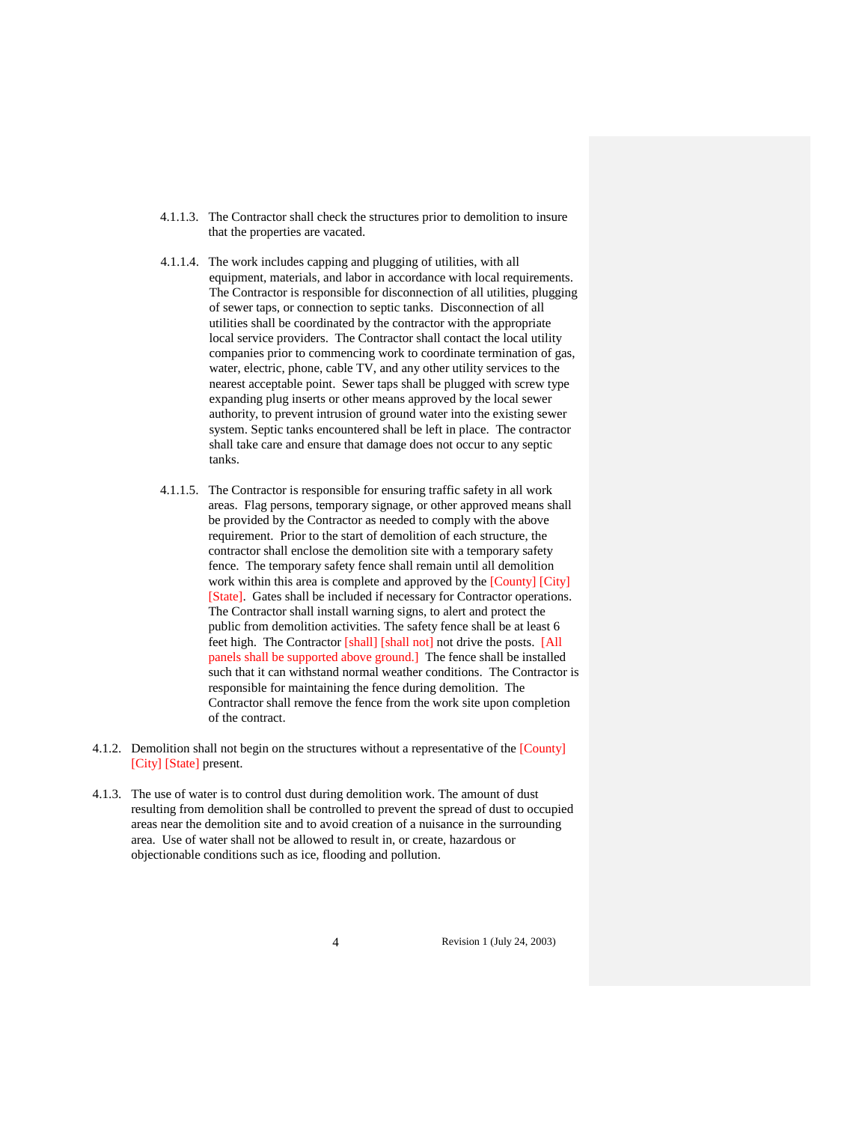- 4.1.1.3. The Contractor shall check the structures prior to demolition to insure that the properties are vacated.
- 4.1.1.4. The work includes capping and plugging of utilities, with all equipment, materials, and labor in accordance with local requirements. The Contractor is responsible for disconnection of all utilities, plugging of sewer taps, or connection to septic tanks. Disconnection of all utilities shall be coordinated by the contractor with the appropriate local service providers. The Contractor shall contact the local utility companies prior to commencing work to coordinate termination of gas, water, electric, phone, cable TV, and any other utility services to the nearest acceptable point. Sewer taps shall be plugged with screw type expanding plug inserts or other means approved by the local sewer authority, to prevent intrusion of ground water into the existing sewer system. Septic tanks encountered shall be left in place. The contractor shall take care and ensure that damage does not occur to any septic tanks.
- 4.1.1.5. The Contractor is responsible for ensuring traffic safety in all work areas. Flag persons, temporary signage, or other approved means shall be provided by the Contractor as needed to comply with the above requirement. Prior to the start of demolition of each structure, the contractor shall enclose the demolition site with a temporary safety fence. The temporary safety fence shall remain until all demolition work within this area is complete and approved by the [County] [City] [State]. Gates shall be included if necessary for Contractor operations. The Contractor shall install warning signs, to alert and protect the public from demolition activities. The safety fence shall be at least 6 feet high. The Contractor [shall] [shall not] not drive the posts. [All panels shall be supported above ground.] The fence shall be installed such that it can withstand normal weather conditions. The Contractor is responsible for maintaining the fence during demolition. The Contractor shall remove the fence from the work site upon completion of the contract.
- 4.1.2. Demolition shall not begin on the structures without a representative of the [County] [City] [State] present.
- 4.1.3. The use of water is to control dust during demolition work. The amount of dust resulting from demolition shall be controlled to prevent the spread of dust to occupied areas near the demolition site and to avoid creation of a nuisance in the surrounding area. Use of water shall not be allowed to result in, or create, hazardous or objectionable conditions such as ice, flooding and pollution.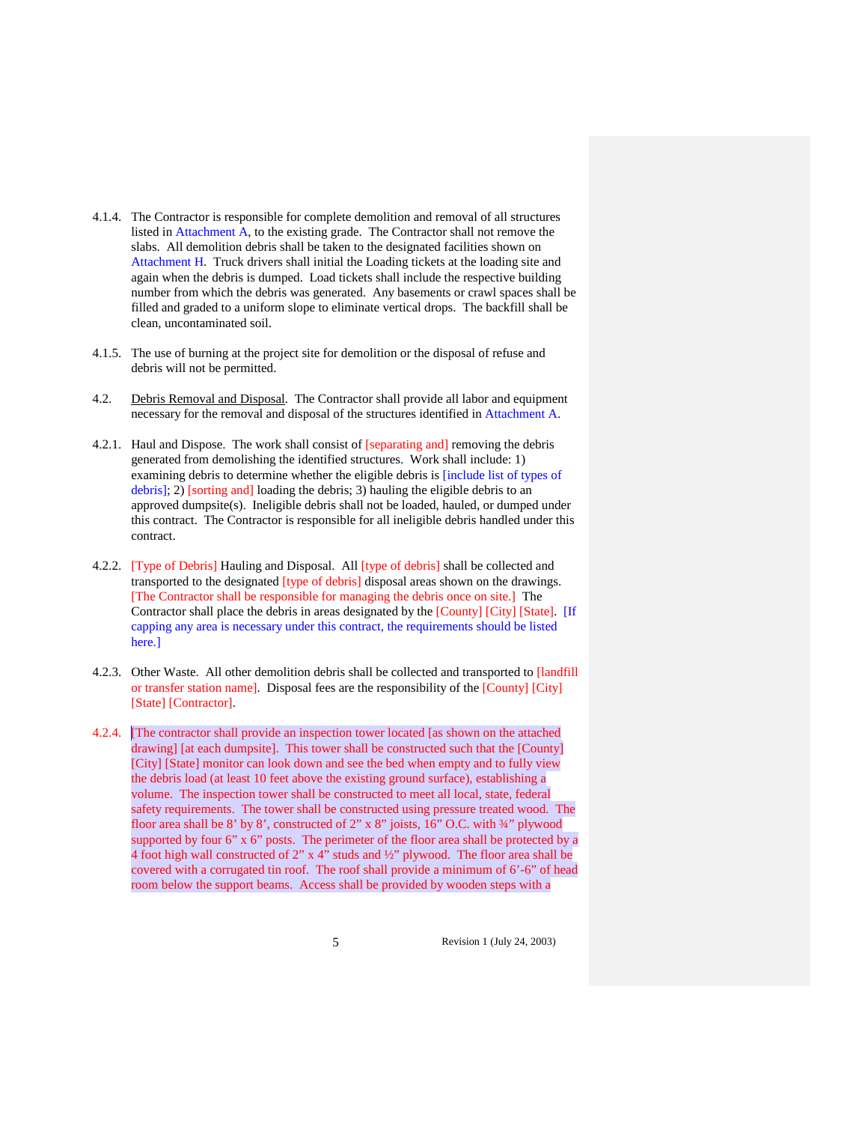- 4.1.4. The Contractor is responsible for complete demolition and removal of all structures listed in Attachment A, to the existing grade. The Contractor shall not remove the slabs. All demolition debris shall be taken to the designated facilities shown on Attachment H. Truck drivers shall initial the Loading tickets at the loading site and again when the debris is dumped. Load tickets shall include the respective building number from which the debris was generated. Any basements or crawl spaces shall be filled and graded to a uniform slope to eliminate vertical drops. The backfill shall be clean, uncontaminated soil.
- 4.1.5. The use of burning at the project site for demolition or the disposal of refuse and debris will not be permitted.
- 4.2. Debris Removal and Disposal. The Contractor shall provide all labor and equipment necessary for the removal and disposal of the structures identified in Attachment A.
- 4.2.1. Haul and Dispose. The work shall consist of [separating and] removing the debris generated from demolishing the identified structures. Work shall include: 1) examining debris to determine whether the eligible debris is [include list of types of debris]; 2) [sorting and] loading the debris; 3) hauling the eligible debris to an approved dumpsite(s). Ineligible debris shall not be loaded, hauled, or dumped under this contract. The Contractor is responsible for all ineligible debris handled under this contract.
- 4.2.2. [Type of Debris] Hauling and Disposal. All [type of debris] shall be collected and transported to the designated [type of debris] disposal areas shown on the drawings. [The Contractor shall be responsible for managing the debris once on site.] The Contractor shall place the debris in areas designated by the [County] [City] [State]. [If capping any area is necessary under this contract, the requirements should be listed here.]
- 4.2.3. Other Waste. All other demolition debris shall be collected and transported to [landfill or transfer station name]. Disposal fees are the responsibility of the [County] [City] [State] [Contractor].
- 4.2.4. [The contractor shall provide an inspection tower located [as shown on the attached drawing] [at each dumpsite]. This tower shall be constructed such that the [County] [City] [State] monitor can look down and see the bed when empty and to fully view the debris load (at least 10 feet above the existing ground surface), establishing a volume. The inspection tower shall be constructed to meet all local, state, federal safety requirements. The tower shall be constructed using pressure treated wood. The floor area shall be 8' by 8', constructed of 2" x 8" joists, 16" O.C. with 34" plywood supported by four 6" x 6" posts. The perimeter of the floor area shall be protected by a 4 foot high wall constructed of 2" x 4" studs and ½" plywood. The floor area shall be covered with a corrugated tin roof. The roof shall provide a minimum of 6'-6" of head room below the support beams. Access shall be provided by wooden steps with a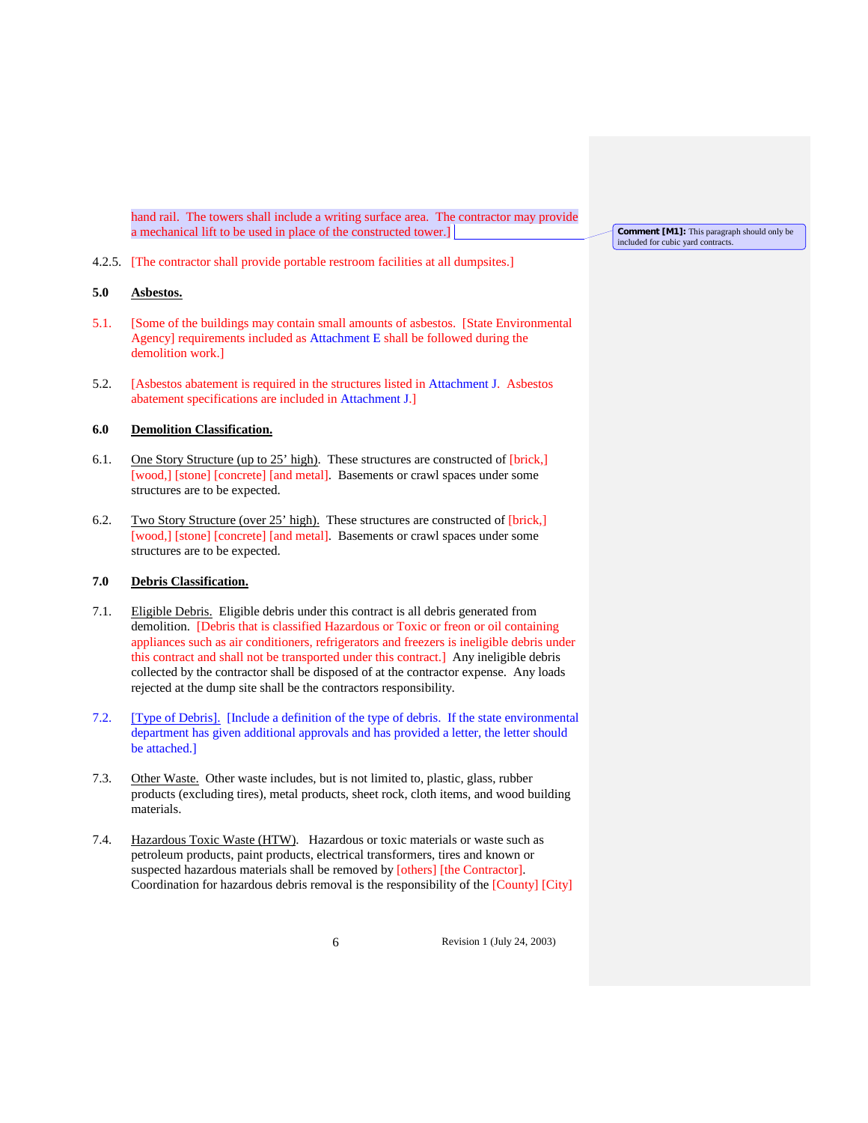hand rail. The towers shall include a writing surface area. The contractor may provide a mechanical lift to be used in place of the constructed tower.]

4.2.5. [The contractor shall provide portable restroom facilities at all dumpsites.]

# **5.0 Asbestos.**

- 5.1. [Some of the buildings may contain small amounts of asbestos. [State Environmental Agency] requirements included as Attachment E shall be followed during the demolition work.]
- 5.2. [Asbestos abatement is required in the structures listed in Attachment J. Asbestos abatement specifications are included in Attachment J.]

# **6.0 Demolition Classification.**

- 6.1. One Story Structure (up to 25' high). These structures are constructed of [brick,] [wood,] [stone] [concrete] [and metal]. Basements or crawl spaces under some structures are to be expected.
- 6.2. Two Story Structure (over 25' high). These structures are constructed of [brick,] [wood,] [stone] [concrete] [and metal]. Basements or crawl spaces under some structures are to be expected.

## **7.0 Debris Classification.**

- 7.1. Eligible Debris. Eligible debris under this contract is all debris generated from demolition. [Debris that is classified Hazardous or Toxic or freon or oil containing appliances such as air conditioners, refrigerators and freezers is ineligible debris under this contract and shall not be transported under this contract.] Any ineligible debris collected by the contractor shall be disposed of at the contractor expense. Any loads rejected at the dump site shall be the contractors responsibility.
- 7.2. [Type of Debris]. [Include a definition of the type of debris. If the state environmental department has given additional approvals and has provided a letter, the letter should be attached.]
- 7.3. Other Waste. Other waste includes, but is not limited to, plastic, glass, rubber products (excluding tires), metal products, sheet rock, cloth items, and wood building materials.
- 7.4. Hazardous Toxic Waste (HTW). Hazardous or toxic materials or waste such as petroleum products, paint products, electrical transformers, tires and known or suspected hazardous materials shall be removed by [others] [the Contractor]. Coordination for hazardous debris removal is the responsibility of the [County] [City]

**Comment [M1]:** This paragraph should only be included for cubic yard contracts.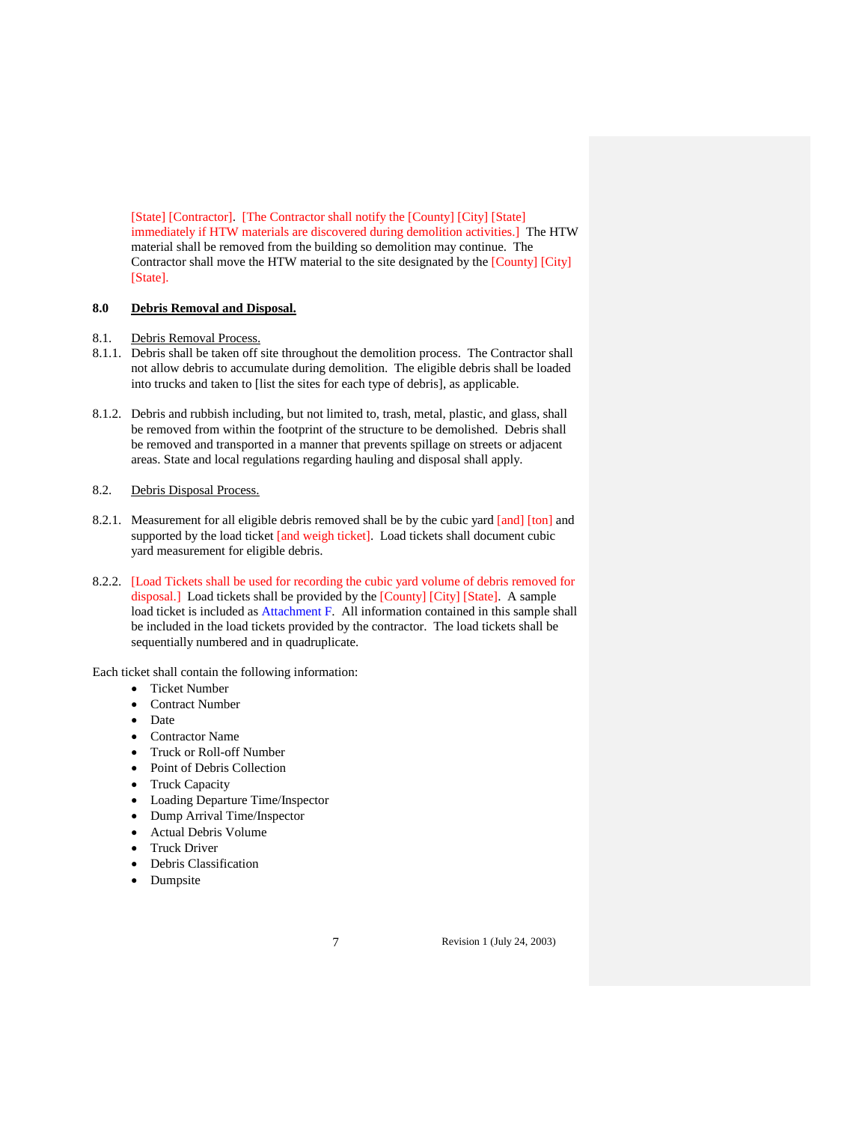[State] [Contractor]. [The Contractor shall notify the [County] [City] [State] immediately if HTW materials are discovered during demolition activities.] The HTW material shall be removed from the building so demolition may continue. The Contractor shall move the HTW material to the site designated by the [County] [City] [State].

# **8.0 Debris Removal and Disposal.**

#### 8.1. Debris Removal Process.

- 8.1.1. Debris shall be taken off site throughout the demolition process. The Contractor shall not allow debris to accumulate during demolition. The eligible debris shall be loaded into trucks and taken to [list the sites for each type of debris], as applicable.
- 8.1.2. Debris and rubbish including, but not limited to, trash, metal, plastic, and glass, shall be removed from within the footprint of the structure to be demolished. Debris shall be removed and transported in a manner that prevents spillage on streets or adjacent areas. State and local regulations regarding hauling and disposal shall apply.

# 8.2. Debris Disposal Process.

- 8.2.1. Measurement for all eligible debris removed shall be by the cubic yard [and] [ton] and supported by the load ticket [and weigh ticket]. Load tickets shall document cubic yard measurement for eligible debris.
- 8.2.2. [Load Tickets shall be used for recording the cubic yard volume of debris removed for disposal.] Load tickets shall be provided by the [County] [City] [State]. A sample load ticket is included as Attachment F. All information contained in this sample shall be included in the load tickets provided by the contractor. The load tickets shall be sequentially numbered and in quadruplicate.

Each ticket shall contain the following information:

- Ticket Number
- Contract Number
- Date
- Contractor Name
- Truck or Roll-off Number
- Point of Debris Collection
- Truck Capacity
- Loading Departure Time/Inspector
- Dump Arrival Time/Inspector
- Actual Debris Volume
- Truck Driver
- Debris Classification
- Dumpsite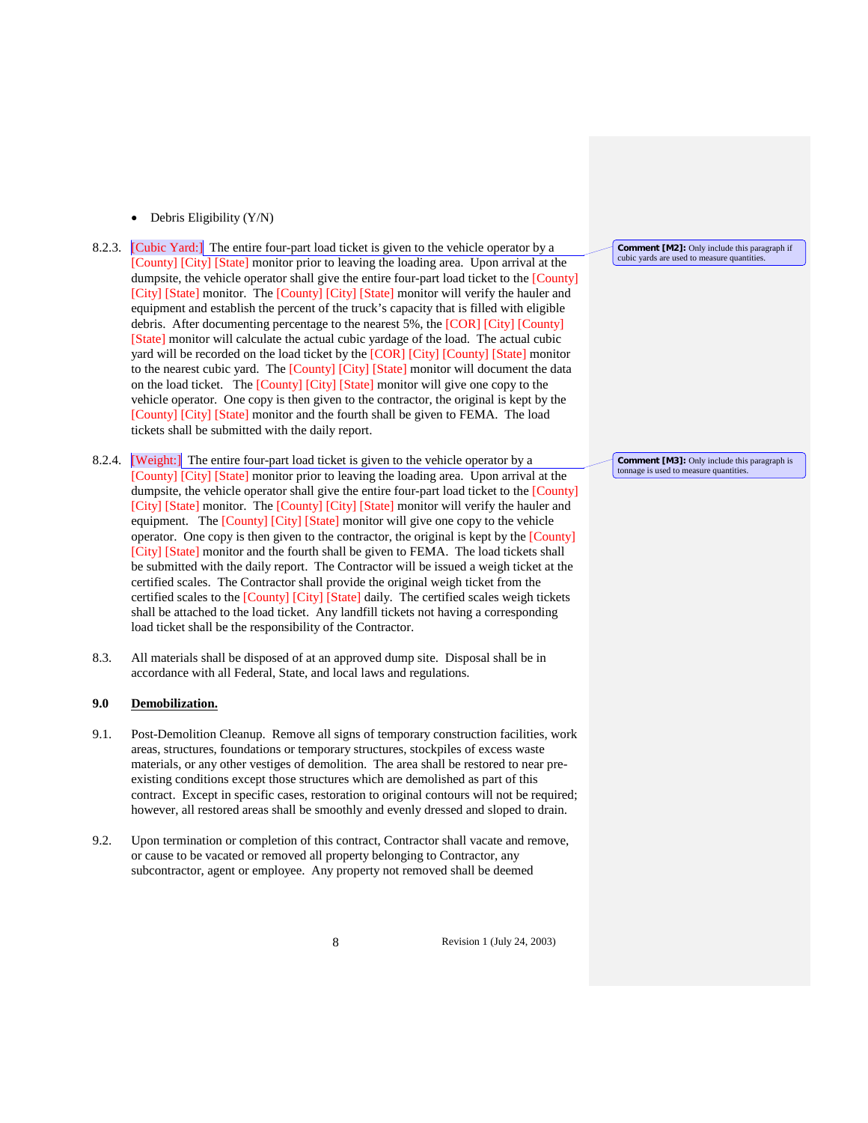- Debris Eligibility  $(Y/N)$
- 8.2.3. [Cubic Yard:] The entire four-part load ticket is given to the vehicle operator by a [County] [City] [State] monitor prior to leaving the loading area. Upon arrival at the dumpsite, the vehicle operator shall give the entire four-part load ticket to the [County] [City] [State] monitor. The [County] [City] [State] monitor will verify the hauler and equipment and establish the percent of the truck's capacity that is filled with eligible debris. After documenting percentage to the nearest 5%, the [COR] [City] [County] [State] monitor will calculate the actual cubic yardage of the load. The actual cubic yard will be recorded on the load ticket by the [COR] [City] [County] [State] monitor to the nearest cubic yard. The [County] [City] [State] monitor will document the data on the load ticket. The [County] [City] [State] monitor will give one copy to the vehicle operator. One copy is then given to the contractor, the original is kept by the [County] [City] [State] monitor and the fourth shall be given to FEMA. The load tickets shall be submitted with the daily report.
- 8.2.4. **Weight:** The entire four-part load ticket is given to the vehicle operator by a [County] [City] [State] monitor prior to leaving the loading area. Upon arrival at the dumpsite, the vehicle operator shall give the entire four-part load ticket to the [County] [City] [State] monitor. The [County] [City] [State] monitor will verify the hauler and equipment. The [County] [City] [State] monitor will give one copy to the vehicle operator. One copy is then given to the contractor, the original is kept by the [County] [City] [State] monitor and the fourth shall be given to FEMA. The load tickets shall be submitted with the daily report. The Contractor will be issued a weigh ticket at the certified scales. The Contractor shall provide the original weigh ticket from the certified scales to the [County] [City] [State] daily. The certified scales weigh tickets shall be attached to the load ticket. Any landfill tickets not having a corresponding load ticket shall be the responsibility of the Contractor.
- 8.3. All materials shall be disposed of at an approved dump site. Disposal shall be in accordance with all Federal, State, and local laws and regulations.

## **9.0 Demobilization.**

- 9.1. Post-Demolition Cleanup. Remove all signs of temporary construction facilities, work areas, structures, foundations or temporary structures, stockpiles of excess waste materials, or any other vestiges of demolition. The area shall be restored to near preexisting conditions except those structures which are demolished as part of this contract. Except in specific cases, restoration to original contours will not be required; however, all restored areas shall be smoothly and evenly dressed and sloped to drain.
- 9.2. Upon termination or completion of this contract, Contractor shall vacate and remove, or cause to be vacated or removed all property belonging to Contractor, any subcontractor, agent or employee. Any property not removed shall be deemed

8 Revision 1 (July 24, 2003)

**Comment [M2]:** Only include this paragraph if cubic yards are used to measure quantities.

**Comment [M3]:** Only include this paragraph is tonnage is used to measure quantities.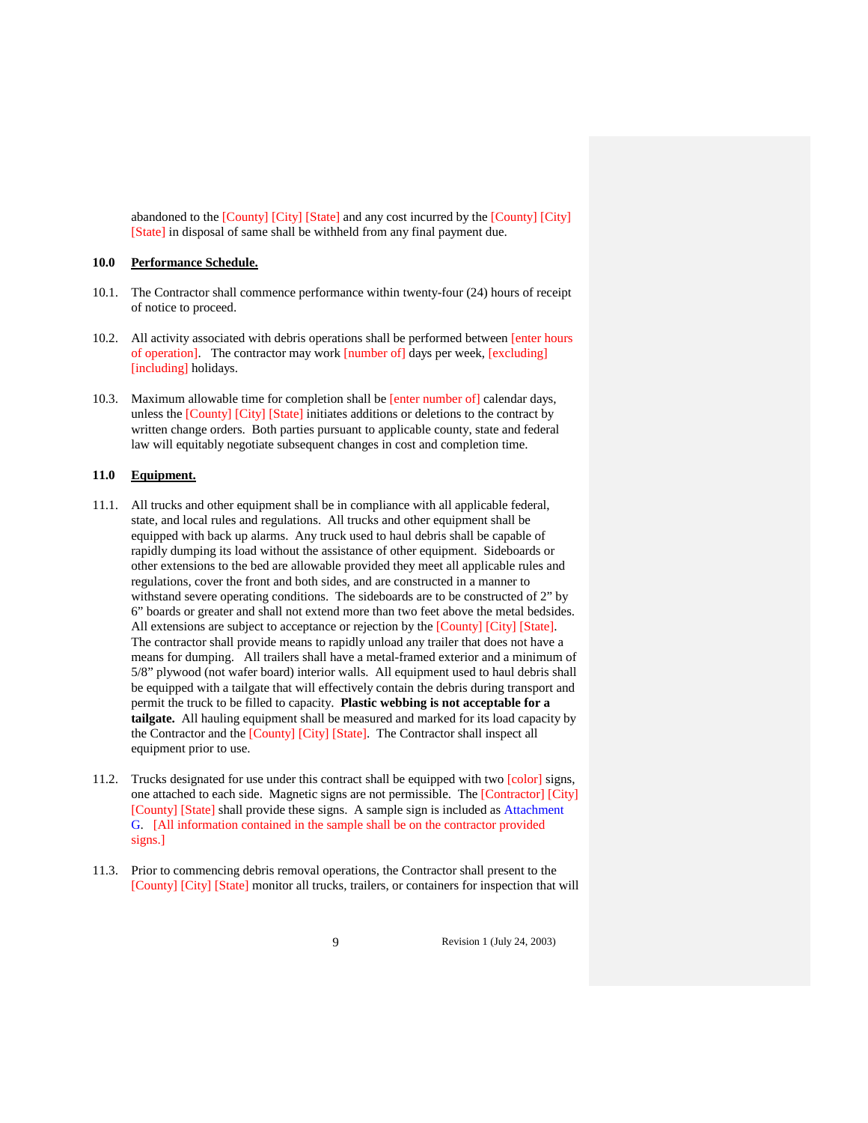abandoned to the [County] [City] [State] and any cost incurred by the [County] [City] [State] in disposal of same shall be withheld from any final payment due.

# **10.0 Performance Schedule.**

- 10.1. The Contractor shall commence performance within twenty-four (24) hours of receipt of notice to proceed.
- 10.2. All activity associated with debris operations shall be performed between [enter hours of operation]. The contractor may work [number of] days per week, [excluding] [including] holidays.
- 10.3. Maximum allowable time for completion shall be [enter number of] calendar days, unless the [County] [City] [State] initiates additions or deletions to the contract by written change orders. Both parties pursuant to applicable county, state and federal law will equitably negotiate subsequent changes in cost and completion time.

## **11.0 Equipment.**

- 11.1. All trucks and other equipment shall be in compliance with all applicable federal, state, and local rules and regulations. All trucks and other equipment shall be equipped with back up alarms. Any truck used to haul debris shall be capable of rapidly dumping its load without the assistance of other equipment. Sideboards or other extensions to the bed are allowable provided they meet all applicable rules and regulations, cover the front and both sides, and are constructed in a manner to withstand severe operating conditions. The sideboards are to be constructed of 2" by 6" boards or greater and shall not extend more than two feet above the metal bedsides. All extensions are subject to acceptance or rejection by the [County] [City] [State]. The contractor shall provide means to rapidly unload any trailer that does not have a means for dumping. All trailers shall have a metal-framed exterior and a minimum of 5/8" plywood (not wafer board) interior walls. All equipment used to haul debris shall be equipped with a tailgate that will effectively contain the debris during transport and permit the truck to be filled to capacity. **Plastic webbing is not acceptable for a tailgate.** All hauling equipment shall be measured and marked for its load capacity by the Contractor and the [County] [City] [State]. The Contractor shall inspect all equipment prior to use.
- 11.2. Trucks designated for use under this contract shall be equipped with two [color] signs, one attached to each side. Magnetic signs are not permissible. The [Contractor] [City] [County] [State] shall provide these signs. A sample sign is included as Attachment G. [All information contained in the sample shall be on the contractor provided signs.]
- 11.3. Prior to commencing debris removal operations, the Contractor shall present to the [County] [City] [State] monitor all trucks, trailers, or containers for inspection that will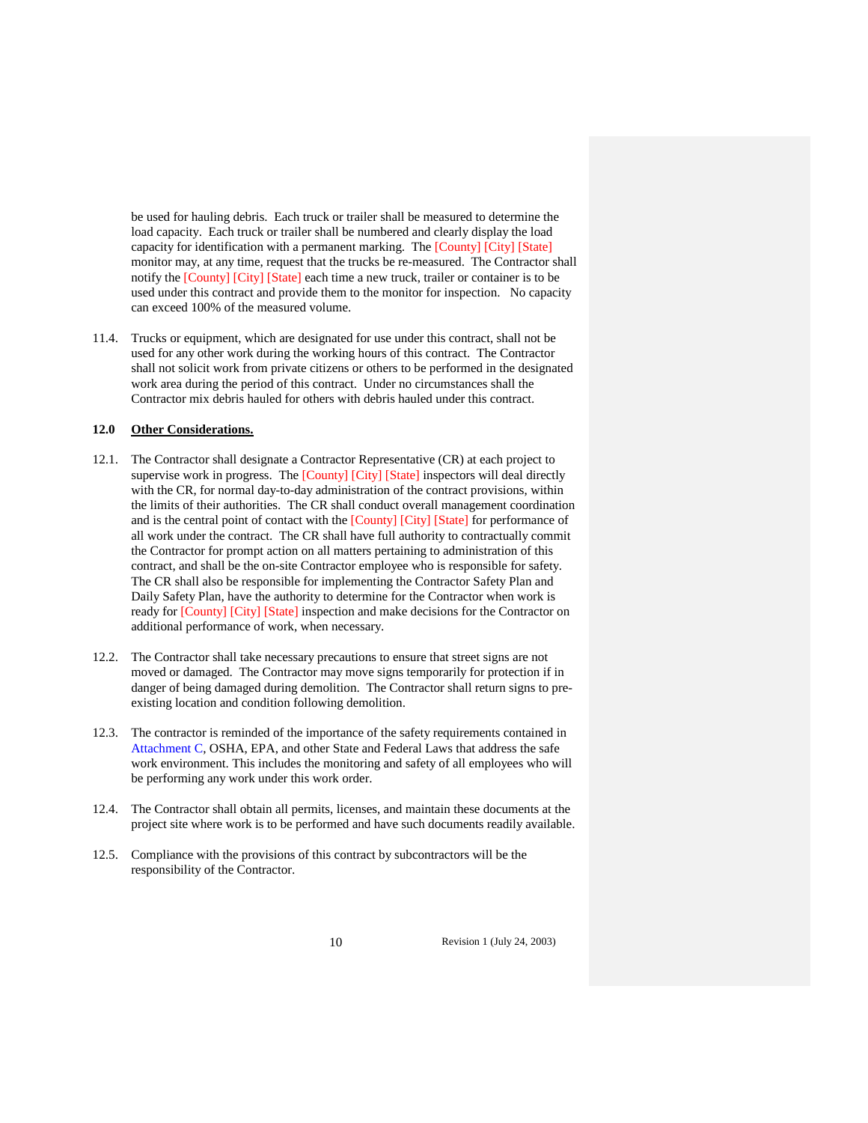be used for hauling debris. Each truck or trailer shall be measured to determine the load capacity. Each truck or trailer shall be numbered and clearly display the load capacity for identification with a permanent marking. The [County] [City] [State] monitor may, at any time, request that the trucks be re-measured. The Contractor shall notify the [County] [City] [State] each time a new truck, trailer or container is to be used under this contract and provide them to the monitor for inspection. No capacity can exceed 100% of the measured volume.

11.4. Trucks or equipment, which are designated for use under this contract, shall not be used for any other work during the working hours of this contract. The Contractor shall not solicit work from private citizens or others to be performed in the designated work area during the period of this contract. Under no circumstances shall the Contractor mix debris hauled for others with debris hauled under this contract.

# **12.0 Other Considerations.**

- 12.1. The Contractor shall designate a Contractor Representative (CR) at each project to supervise work in progress. The [County] [City] [State] inspectors will deal directly with the CR, for normal day-to-day administration of the contract provisions, within the limits of their authorities. The CR shall conduct overall management coordination and is the central point of contact with the [County] [City] [State] for performance of all work under the contract. The CR shall have full authority to contractually commit the Contractor for prompt action on all matters pertaining to administration of this contract, and shall be the on-site Contractor employee who is responsible for safety. The CR shall also be responsible for implementing the Contractor Safety Plan and Daily Safety Plan, have the authority to determine for the Contractor when work is ready for [County] [City] [State] inspection and make decisions for the Contractor on additional performance of work, when necessary.
- 12.2. The Contractor shall take necessary precautions to ensure that street signs are not moved or damaged. The Contractor may move signs temporarily for protection if in danger of being damaged during demolition. The Contractor shall return signs to preexisting location and condition following demolition.
- 12.3. The contractor is reminded of the importance of the safety requirements contained in Attachment C, OSHA, EPA, and other State and Federal Laws that address the safe work environment. This includes the monitoring and safety of all employees who will be performing any work under this work order.
- 12.4. The Contractor shall obtain all permits, licenses, and maintain these documents at the project site where work is to be performed and have such documents readily available.
- 12.5. Compliance with the provisions of this contract by subcontractors will be the responsibility of the Contractor.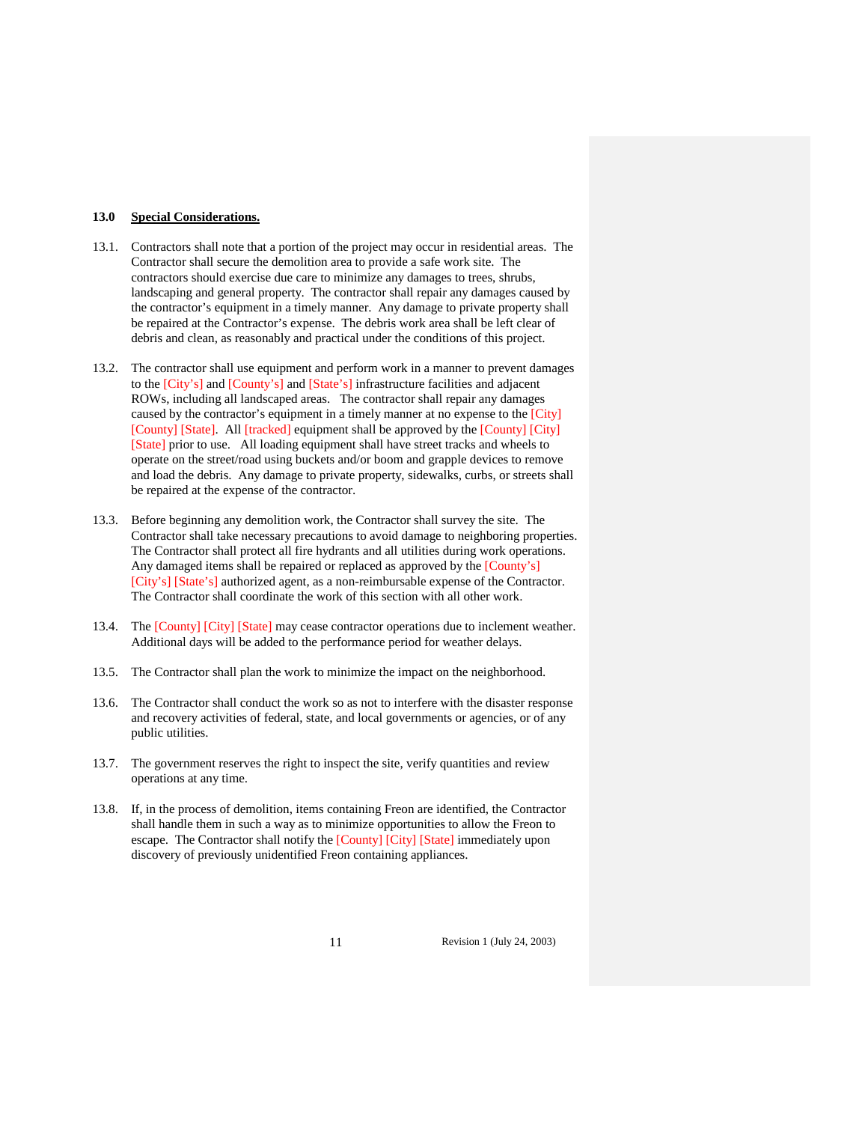## **13.0 Special Considerations.**

- 13.1. Contractors shall note that a portion of the project may occur in residential areas. The Contractor shall secure the demolition area to provide a safe work site. The contractors should exercise due care to minimize any damages to trees, shrubs, landscaping and general property. The contractor shall repair any damages caused by the contractor's equipment in a timely manner. Any damage to private property shall be repaired at the Contractor's expense. The debris work area shall be left clear of debris and clean, as reasonably and practical under the conditions of this project.
- 13.2. The contractor shall use equipment and perform work in a manner to prevent damages to the [City's] and [County's] and [State's] infrastructure facilities and adjacent ROWs, including all landscaped areas. The contractor shall repair any damages caused by the contractor's equipment in a timely manner at no expense to the [City] [County] [State]. All [tracked] equipment shall be approved by the [County] [City] [State] prior to use. All loading equipment shall have street tracks and wheels to operate on the street/road using buckets and/or boom and grapple devices to remove and load the debris. Any damage to private property, sidewalks, curbs, or streets shall be repaired at the expense of the contractor.
- 13.3. Before beginning any demolition work, the Contractor shall survey the site. The Contractor shall take necessary precautions to avoid damage to neighboring properties. The Contractor shall protect all fire hydrants and all utilities during work operations. Any damaged items shall be repaired or replaced as approved by the [County's] [City's] [State's] authorized agent, as a non-reimbursable expense of the Contractor. The Contractor shall coordinate the work of this section with all other work.
- 13.4. The [County] [City] [State] may cease contractor operations due to inclement weather. Additional days will be added to the performance period for weather delays.
- 13.5. The Contractor shall plan the work to minimize the impact on the neighborhood.
- 13.6. The Contractor shall conduct the work so as not to interfere with the disaster response and recovery activities of federal, state, and local governments or agencies, or of any public utilities.
- 13.7. The government reserves the right to inspect the site, verify quantities and review operations at any time.
- 13.8. If, in the process of demolition, items containing Freon are identified, the Contractor shall handle them in such a way as to minimize opportunities to allow the Freon to escape. The Contractor shall notify the [County] [City] [State] immediately upon discovery of previously unidentified Freon containing appliances.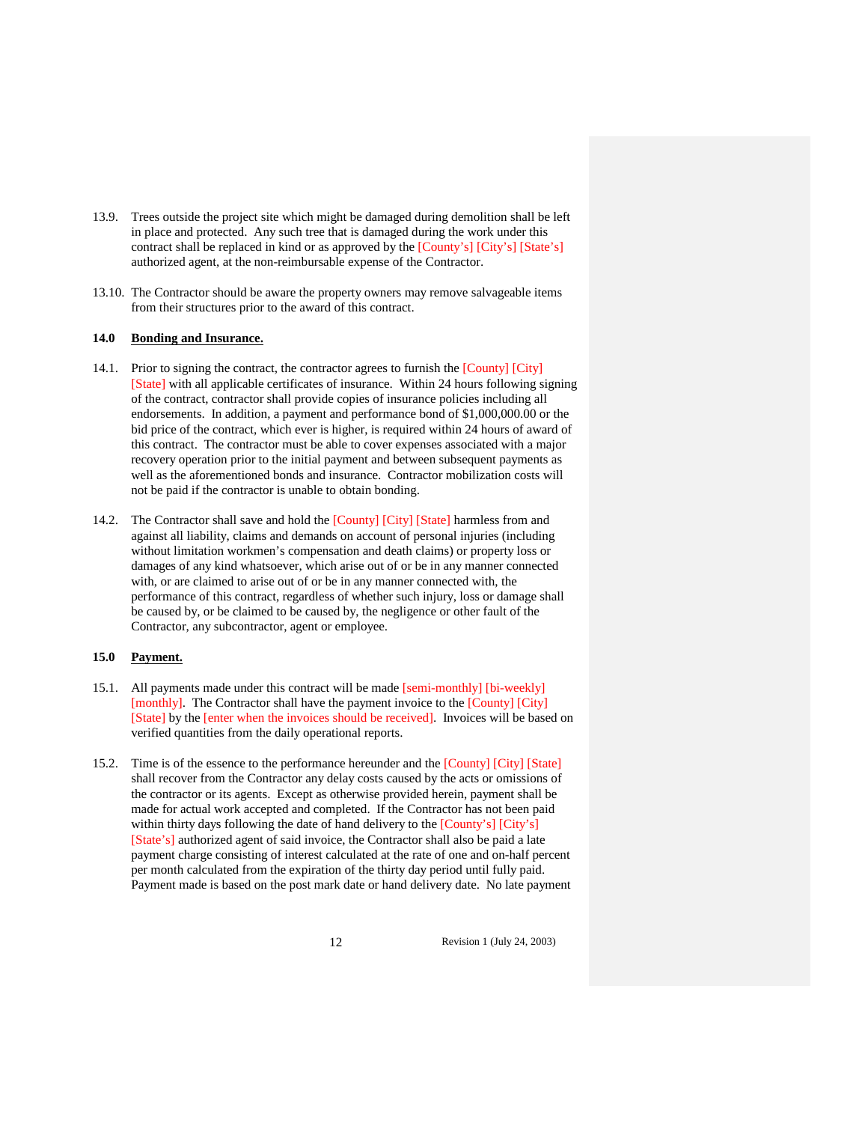- 13.9. Trees outside the project site which might be damaged during demolition shall be left in place and protected. Any such tree that is damaged during the work under this contract shall be replaced in kind or as approved by the [County's] [City's] [State's] authorized agent, at the non-reimbursable expense of the Contractor.
- 13.10. The Contractor should be aware the property owners may remove salvageable items from their structures prior to the award of this contract.

# **14.0 Bonding and Insurance.**

- 14.1. Prior to signing the contract, the contractor agrees to furnish the [County] [City] [State] with all applicable certificates of insurance. Within 24 hours following signing of the contract, contractor shall provide copies of insurance policies including all endorsements. In addition, a payment and performance bond of \$1,000,000.00 or the bid price of the contract, which ever is higher, is required within 24 hours of award of this contract. The contractor must be able to cover expenses associated with a major recovery operation prior to the initial payment and between subsequent payments as well as the aforementioned bonds and insurance. Contractor mobilization costs will not be paid if the contractor is unable to obtain bonding.
- 14.2. The Contractor shall save and hold the [County] [City] [State] harmless from and against all liability, claims and demands on account of personal injuries (including without limitation workmen's compensation and death claims) or property loss or damages of any kind whatsoever, which arise out of or be in any manner connected with, or are claimed to arise out of or be in any manner connected with, the performance of this contract, regardless of whether such injury, loss or damage shall be caused by, or be claimed to be caused by, the negligence or other fault of the Contractor, any subcontractor, agent or employee.

# **15.0 Payment.**

- 15.1. All payments made under this contract will be made [semi-monthly] [bi-weekly] [monthly]. The Contractor shall have the payment invoice to the [County] [City] [State] by the [enter when the invoices should be received]. Invoices will be based on verified quantities from the daily operational reports.
- 15.2. Time is of the essence to the performance hereunder and the [County] [City] [State] shall recover from the Contractor any delay costs caused by the acts or omissions of the contractor or its agents. Except as otherwise provided herein, payment shall be made for actual work accepted and completed. If the Contractor has not been paid within thirty days following the date of hand delivery to the [County's] [City's] [State's] authorized agent of said invoice, the Contractor shall also be paid a late payment charge consisting of interest calculated at the rate of one and on-half percent per month calculated from the expiration of the thirty day period until fully paid. Payment made is based on the post mark date or hand delivery date. No late payment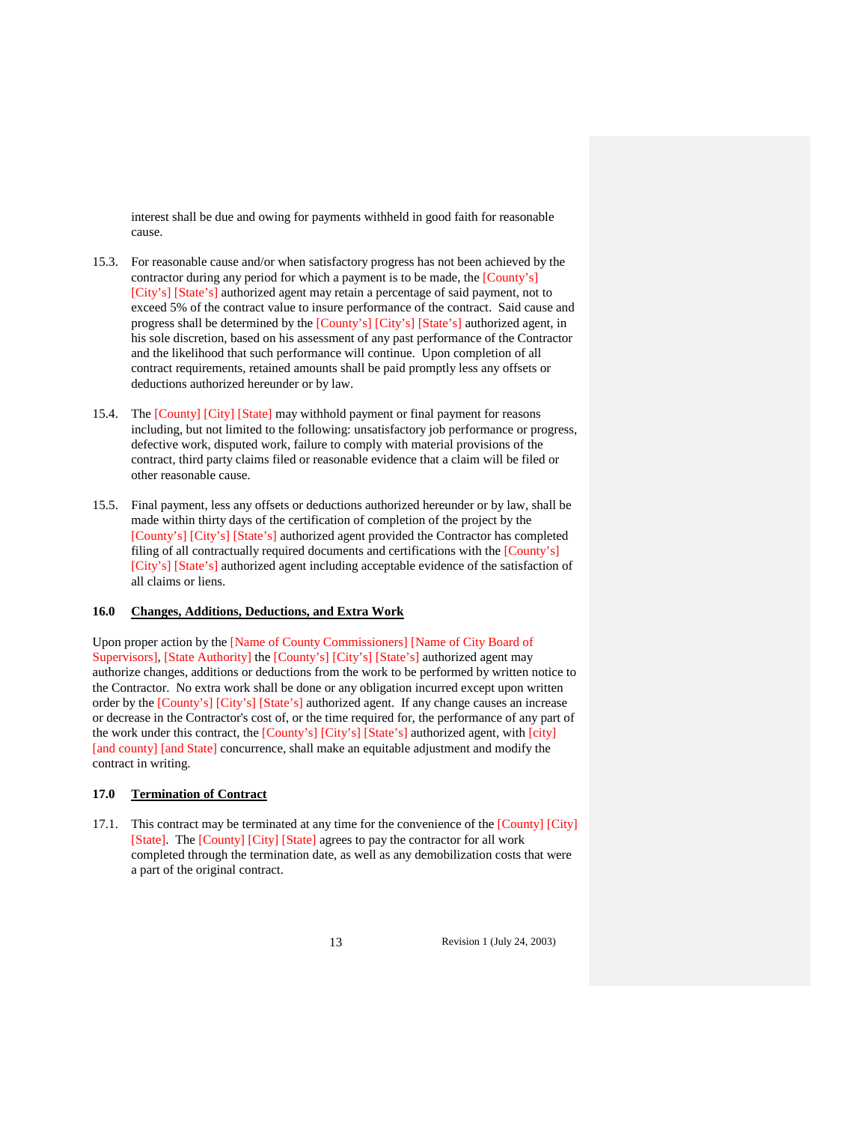interest shall be due and owing for payments withheld in good faith for reasonable cause.

- 15.3. For reasonable cause and/or when satisfactory progress has not been achieved by the contractor during any period for which a payment is to be made, the [County's] [City's] [State's] authorized agent may retain a percentage of said payment, not to exceed 5% of the contract value to insure performance of the contract. Said cause and progress shall be determined by the [County's] [City's] [State's] authorized agent, in his sole discretion, based on his assessment of any past performance of the Contractor and the likelihood that such performance will continue. Upon completion of all contract requirements, retained amounts shall be paid promptly less any offsets or deductions authorized hereunder or by law.
- 15.4. The [County] [City] [State] may withhold payment or final payment for reasons including, but not limited to the following: unsatisfactory job performance or progress, defective work, disputed work, failure to comply with material provisions of the contract, third party claims filed or reasonable evidence that a claim will be filed or other reasonable cause.
- 15.5. Final payment, less any offsets or deductions authorized hereunder or by law, shall be made within thirty days of the certification of completion of the project by the [County's] [City's] [State's] authorized agent provided the Contractor has completed filing of all contractually required documents and certifications with the [County's] [City's] [State's] authorized agent including acceptable evidence of the satisfaction of all claims or liens.

### **16.0 Changes, Additions, Deductions, and Extra Work**

Upon proper action by the [Name of County Commissioners] [Name of City Board of Supervisors], [State Authority] the [County's] [City's] [State's] authorized agent may authorize changes, additions or deductions from the work to be performed by written notice to the Contractor. No extra work shall be done or any obligation incurred except upon written order by the [County's] [City's] [State's] authorized agent. If any change causes an increase or decrease in the Contractor's cost of, or the time required for, the performance of any part of the work under this contract, the [County's] [City's] [State's] authorized agent, with [city] [and county] [and State] concurrence, shall make an equitable adjustment and modify the contract in writing.

# **17.0 Termination of Contract**

17.1. This contract may be terminated at any time for the convenience of the [County] [City] [State]. The [County] [City] [State] agrees to pay the contractor for all work completed through the termination date, as well as any demobilization costs that were a part of the original contract.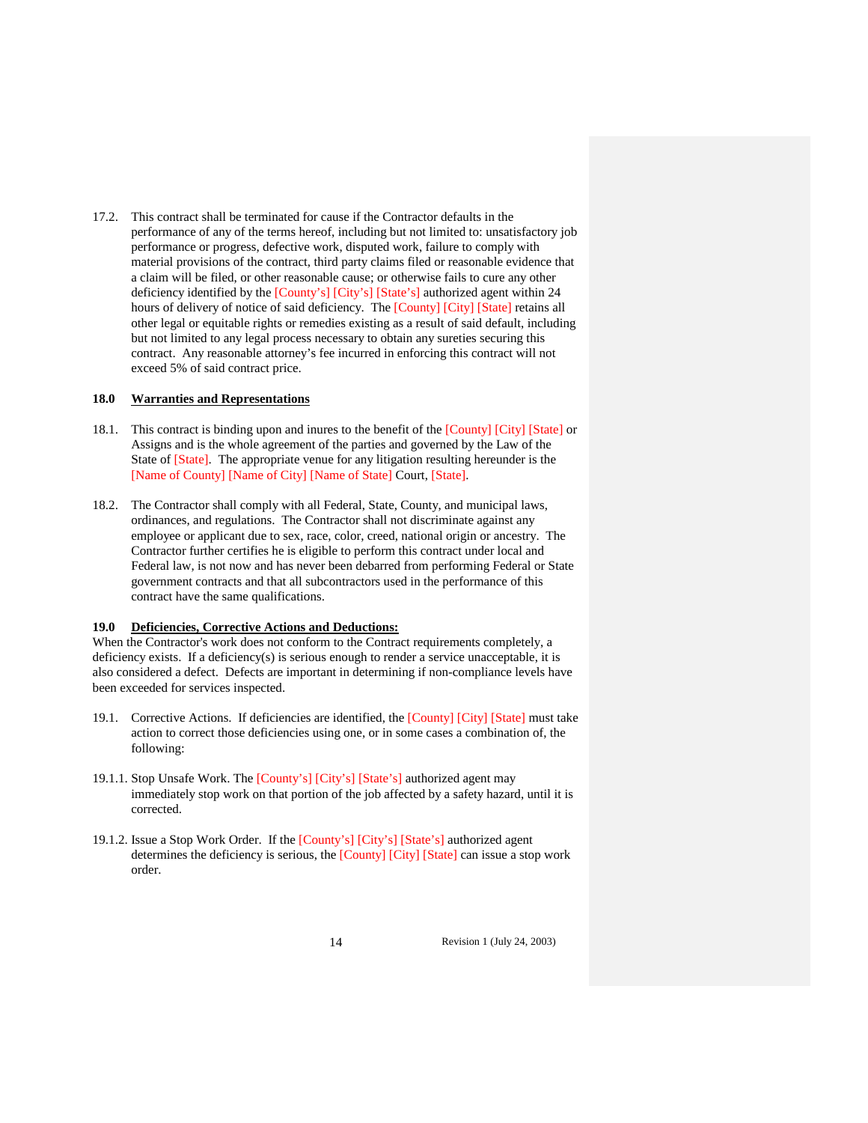17.2. This contract shall be terminated for cause if the Contractor defaults in the performance of any of the terms hereof, including but not limited to: unsatisfactory job performance or progress, defective work, disputed work, failure to comply with material provisions of the contract, third party claims filed or reasonable evidence that a claim will be filed, or other reasonable cause; or otherwise fails to cure any other deficiency identified by the [County's] [City's] [State's] authorized agent within 24 hours of delivery of notice of said deficiency. The [County] [City] [State] retains all other legal or equitable rights or remedies existing as a result of said default, including but not limited to any legal process necessary to obtain any sureties securing this contract. Any reasonable attorney's fee incurred in enforcing this contract will not exceed 5% of said contract price.

### **18.0 Warranties and Representations**

- 18.1. This contract is binding upon and inures to the benefit of the [County] [City] [State] or Assigns and is the whole agreement of the parties and governed by the Law of the State of [State]. The appropriate venue for any litigation resulting hereunder is the [Name of County] [Name of City] [Name of State] Court, [State].
- 18.2. The Contractor shall comply with all Federal, State, County, and municipal laws, ordinances, and regulations. The Contractor shall not discriminate against any employee or applicant due to sex, race, color, creed, national origin or ancestry. The Contractor further certifies he is eligible to perform this contract under local and Federal law, is not now and has never been debarred from performing Federal or State government contracts and that all subcontractors used in the performance of this contract have the same qualifications.

#### **19.0 Deficiencies, Corrective Actions and Deductions:**

When the Contractor's work does not conform to the Contract requirements completely, a deficiency exists. If a deficiency(s) is serious enough to render a service unacceptable, it is also considered a defect. Defects are important in determining if non-compliance levels have been exceeded for services inspected.

- 19.1. Corrective Actions. If deficiencies are identified, the [County] [City] [State] must take action to correct those deficiencies using one, or in some cases a combination of, the following:
- 19.1.1. Stop Unsafe Work. The [County's] [City's] [State's] authorized agent may immediately stop work on that portion of the job affected by a safety hazard, until it is corrected.
- 19.1.2. Issue a Stop Work Order. If the [County's] [City's] [State's] authorized agent determines the deficiency is serious, the [County] [City] [State] can issue a stop work order.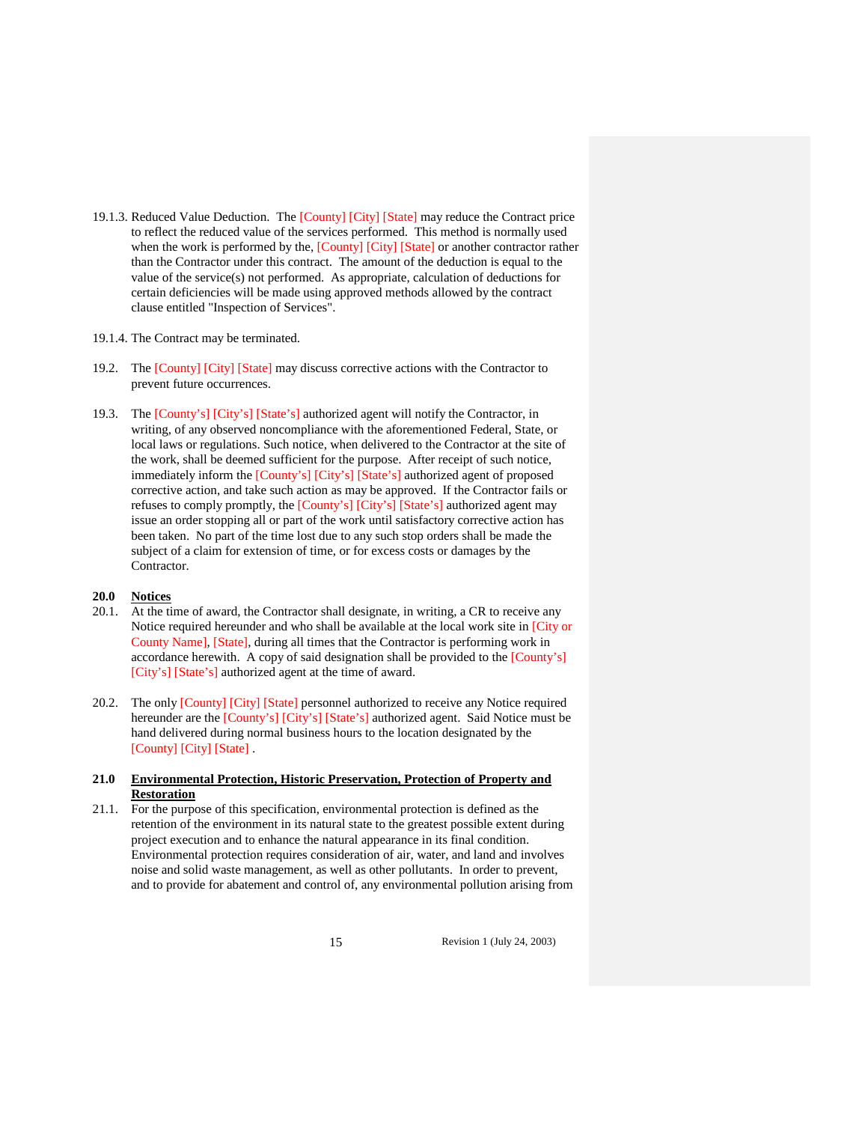- 19.1.3. Reduced Value Deduction. The [County] [City] [State] may reduce the Contract price to reflect the reduced value of the services performed. This method is normally used when the work is performed by the, [County] [City] [State] or another contractor rather than the Contractor under this contract. The amount of the deduction is equal to the value of the service(s) not performed. As appropriate, calculation of deductions for certain deficiencies will be made using approved methods allowed by the contract clause entitled "Inspection of Services".
- 19.1.4. The Contract may be terminated.
- 19.2. The [County] [City] [State] may discuss corrective actions with the Contractor to prevent future occurrences.
- 19.3. The [County's] [City's] [State's] authorized agent will notify the Contractor, in writing, of any observed noncompliance with the aforementioned Federal, State, or local laws or regulations. Such notice, when delivered to the Contractor at the site of the work, shall be deemed sufficient for the purpose. After receipt of such notice, immediately inform the [County's] [City's] [State's] authorized agent of proposed corrective action, and take such action as may be approved. If the Contractor fails or refuses to comply promptly, the [County's] [City's] [State's] authorized agent may issue an order stopping all or part of the work until satisfactory corrective action has been taken. No part of the time lost due to any such stop orders shall be made the subject of a claim for extension of time, or for excess costs or damages by the Contractor.

#### **20.0 Notices**

- 20.1. At the time of award, the Contractor shall designate, in writing, a CR to receive any Notice required hereunder and who shall be available at the local work site in [City or County Name], [State], during all times that the Contractor is performing work in accordance herewith. A copy of said designation shall be provided to the [County's] [City's] [State's] authorized agent at the time of award.
- 20.2. The only [County] [City] [State] personnel authorized to receive any Notice required hereunder are the [County's] [City's] [State's] authorized agent. Said Notice must be hand delivered during normal business hours to the location designated by the [County] [City] [State] .

# **21.0 Environmental Protection, Historic Preservation, Protection of Property and Restoration**

21.1. For the purpose of this specification, environmental protection is defined as the retention of the environment in its natural state to the greatest possible extent during project execution and to enhance the natural appearance in its final condition. Environmental protection requires consideration of air, water, and land and involves noise and solid waste management, as well as other pollutants. In order to prevent, and to provide for abatement and control of, any environmental pollution arising from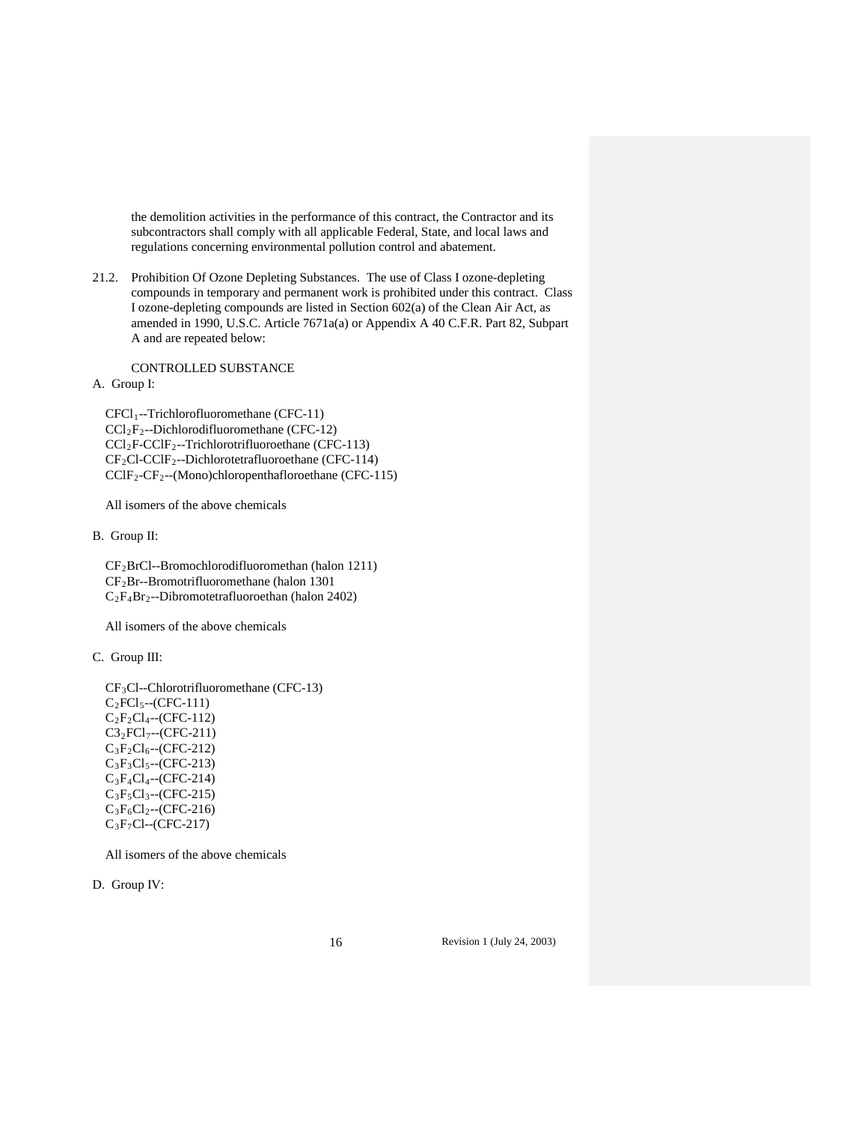the demolition activities in the performance of this contract, the Contractor and its subcontractors shall comply with all applicable Federal, State, and local laws and regulations concerning environmental pollution control and abatement.

21.2. Prohibition Of Ozone Depleting Substances. The use of Class I ozone-depleting compounds in temporary and permanent work is prohibited under this contract. Class I ozone-depleting compounds are listed in Section 602(a) of the Clean Air Act, as amended in 1990, U.S.C. Article 7671a(a) or Appendix A 40 C.F.R. Part 82, Subpart A and are repeated below:

CONTROLLED SUBSTANCE

A. Group I:

 CFCl1--Trichlorofluoromethane (CFC-11) CCl2F2--Dichlorodifluoromethane (CFC-12) CCl2F-CClF2--Trichlorotrifluoroethane (CFC-113)  $CF_2Cl-CCIF_2$ --Dichlorotetrafluoroethane (CFC-114) CClF2-CF2--(Mono)chloropenthafloroethane (CFC-115)

All isomers of the above chemicals

B. Group II:

 CF2BrCl--Bromochlorodifluoromethan (halon 1211) CF2Br--Bromotrifluoromethane (halon 1301 C2F4Br2--Dibromotetrafluoroethan (halon 2402)

All isomers of the above chemicals

C. Group III:

 CF3Cl--Chlorotrifluoromethane (CFC-13)  $C_2FCl_5-(CFC-111)$  $C_2F_2Cl_4$ --(CFC-112)  $C3_2FC1_7 - (CFC-211)$  $C_3F_2Cl_6$ --(CFC-212)  $C_3F_3Cl_5 - (CFC-213)$  C3F4Cl4--(CFC-214)  $C_3F_5Cl_3 - (CFC-215)$  $C_3F_6Cl_2$ --(CFC-216) C3F7Cl--(CFC-217)

All isomers of the above chemicals

D. Group IV: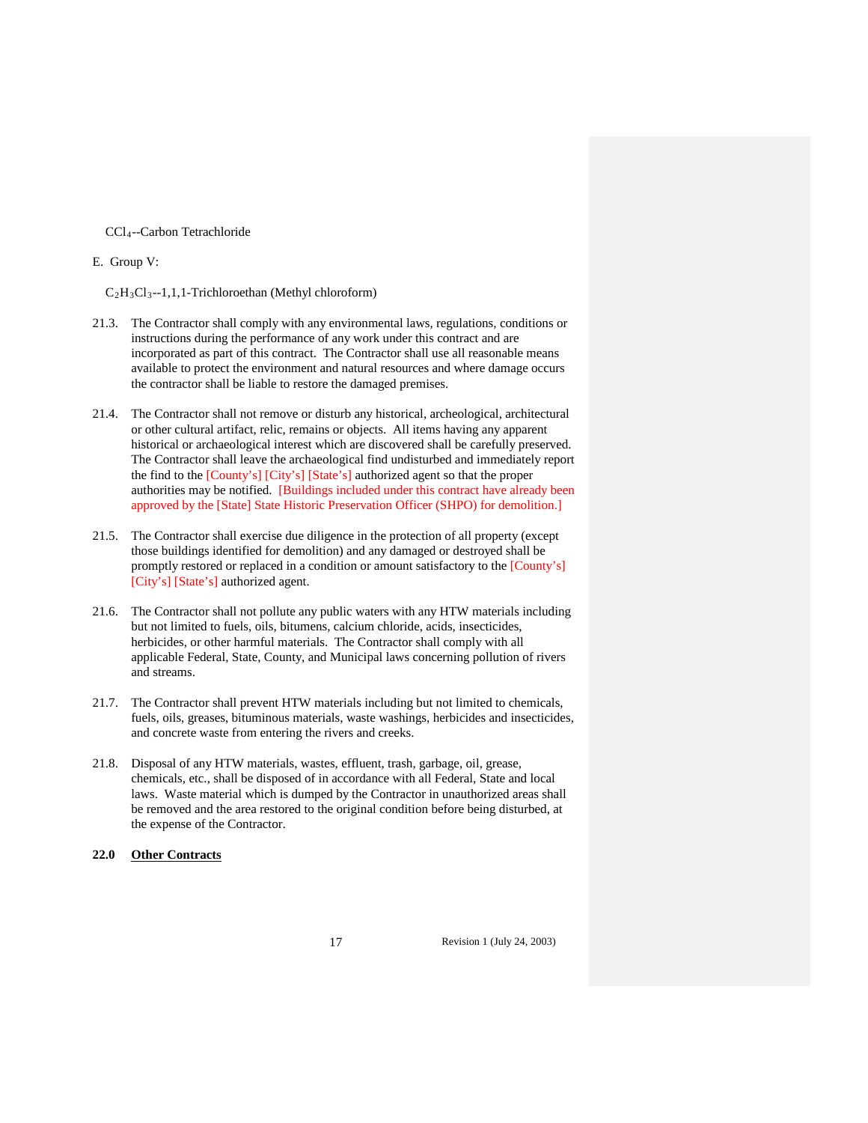CCl4--Carbon Tetrachloride

E. Group V:

 $C_2H_3Cl_3-1,1,1$ -Trichloroethan (Methyl chloroform)

- 21.3. The Contractor shall comply with any environmental laws, regulations, conditions or instructions during the performance of any work under this contract and are incorporated as part of this contract. The Contractor shall use all reasonable means available to protect the environment and natural resources and where damage occurs the contractor shall be liable to restore the damaged premises.
- 21.4. The Contractor shall not remove or disturb any historical, archeological, architectural or other cultural artifact, relic, remains or objects. All items having any apparent historical or archaeological interest which are discovered shall be carefully preserved. The Contractor shall leave the archaeological find undisturbed and immediately report the find to the [County's] [City's] [State's] authorized agent so that the proper authorities may be notified. [Buildings included under this contract have already been approved by the [State] State Historic Preservation Officer (SHPO) for demolition.]
- 21.5. The Contractor shall exercise due diligence in the protection of all property (except those buildings identified for demolition) and any damaged or destroyed shall be promptly restored or replaced in a condition or amount satisfactory to the [County's] [City's] [State's] authorized agent.
- 21.6. The Contractor shall not pollute any public waters with any HTW materials including but not limited to fuels, oils, bitumens, calcium chloride, acids, insecticides, herbicides, or other harmful materials. The Contractor shall comply with all applicable Federal, State, County, and Municipal laws concerning pollution of rivers and streams.
- 21.7. The Contractor shall prevent HTW materials including but not limited to chemicals, fuels, oils, greases, bituminous materials, waste washings, herbicides and insecticides, and concrete waste from entering the rivers and creeks.
- 21.8. Disposal of any HTW materials, wastes, effluent, trash, garbage, oil, grease, chemicals, etc., shall be disposed of in accordance with all Federal, State and local laws. Waste material which is dumped by the Contractor in unauthorized areas shall be removed and the area restored to the original condition before being disturbed, at the expense of the Contractor.

# **22.0 Other Contracts**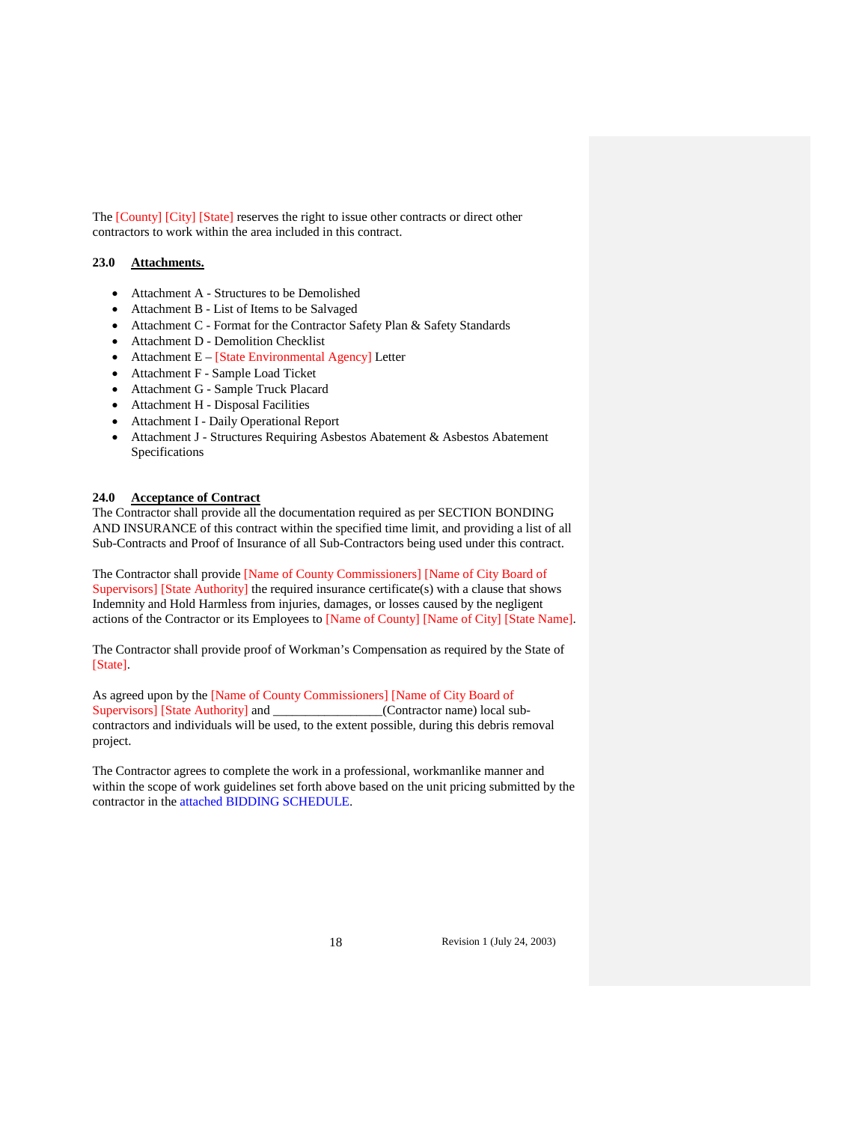The [County] [City] [State] reserves the right to issue other contracts or direct other contractors to work within the area included in this contract.

# **23.0 Attachments.**

- Attachment A Structures to be Demolished
- Attachment B List of Items to be Salvaged
- Attachment C Format for the Contractor Safety Plan & Safety Standards
- Attachment D Demolition Checklist
- Attachment E [State Environmental Agency] Letter
- Attachment F Sample Load Ticket
- Attachment G Sample Truck Placard
- Attachment H Disposal Facilities
- Attachment I Daily Operational Report
- Attachment J Structures Requiring Asbestos Abatement & Asbestos Abatement Specifications

#### **24.0 Acceptance of Contract**

The Contractor shall provide all the documentation required as per SECTION BONDING AND INSURANCE of this contract within the specified time limit, and providing a list of all Sub-Contracts and Proof of Insurance of all Sub-Contractors being used under this contract.

The Contractor shall provide [Name of County Commissioners] [Name of City Board of Supervisors] [State Authority] the required insurance certificate(s) with a clause that shows Indemnity and Hold Harmless from injuries, damages, or losses caused by the negligent actions of the Contractor or its Employees to [Name of County] [Name of City] [State Name].

The Contractor shall provide proof of Workman's Compensation as required by the State of [State].

As agreed upon by the [Name of County Commissioners] [Name of City Board of Supervisors] [State Authority] and \_\_\_\_\_\_\_\_\_\_\_\_\_\_\_(Contractor name) local subcontractors and individuals will be used, to the extent possible, during this debris removal project.

The Contractor agrees to complete the work in a professional, workmanlike manner and within the scope of work guidelines set forth above based on the unit pricing submitted by the contractor in the attached BIDDING SCHEDULE.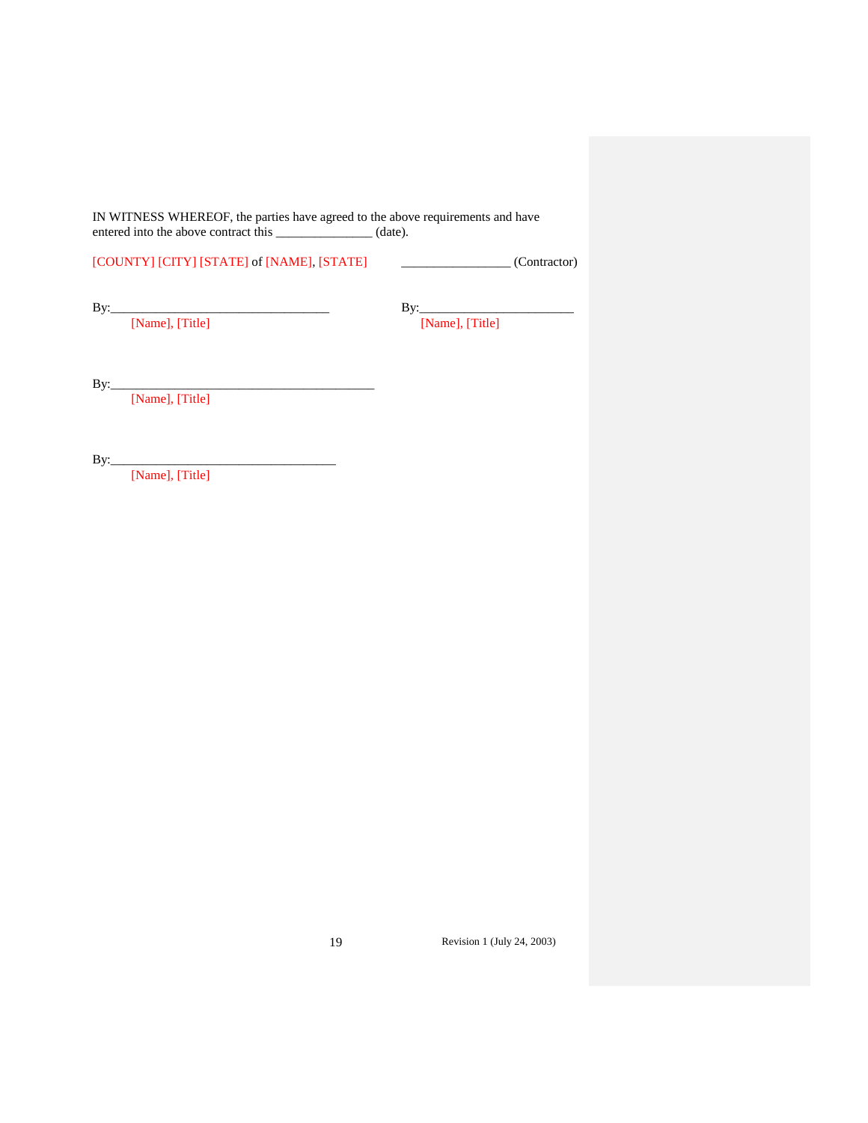IN WITNESS WHEREOF, the parties have agreed to the above requirements and have entered into the above contract this \_\_\_\_\_\_\_\_\_\_\_\_\_\_\_\_ (date).

[COUNTY] [CITY] [STATE] of [NAME], [STATE] \_\_\_\_\_\_\_\_\_\_\_\_\_\_\_\_\_ (Contractor)

By:\_\_\_\_\_\_\_\_\_\_\_\_\_\_\_\_\_\_\_\_\_\_\_\_\_\_\_\_\_\_\_\_\_\_ By:\_\_\_\_\_\_\_\_\_\_\_\_\_\_\_\_\_\_\_\_\_\_\_\_ [Name], [Title] [Name], [Title]

By:\_\_\_\_\_\_\_\_\_\_\_\_\_\_\_\_\_\_\_\_\_\_\_\_\_\_\_\_\_\_\_\_\_\_\_\_\_\_\_\_\_

[Name], [Title]

By:\_\_\_\_\_\_\_\_\_\_\_\_\_\_\_\_\_\_\_\_\_\_\_\_\_\_\_\_\_\_\_\_\_\_\_

[Name], [Title]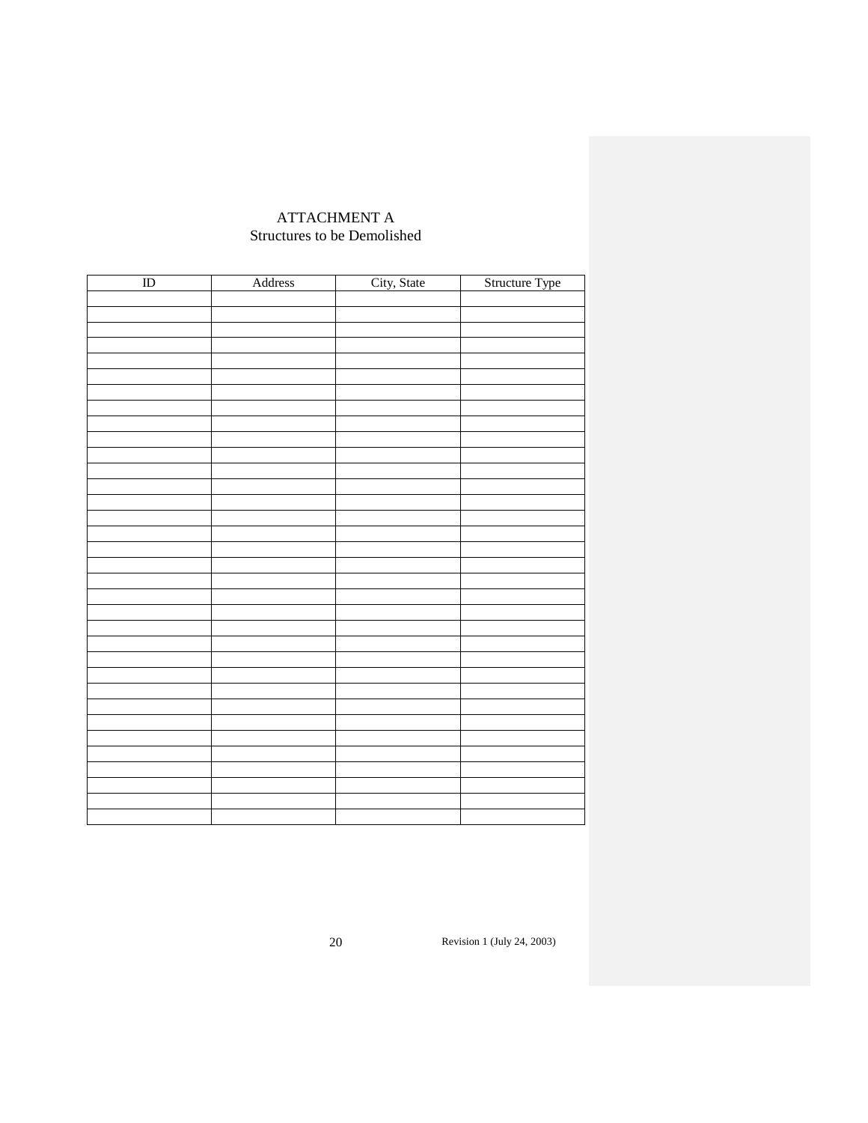# ATTACHMENT A Structures to be Demolished

| $\rm ID$ | Address | City, State | Structure Type |
|----------|---------|-------------|----------------|
|          |         |             |                |
|          |         |             |                |
|          |         |             |                |
|          |         |             |                |
|          |         |             |                |
|          |         |             |                |
|          |         |             |                |
|          |         |             |                |
|          |         |             |                |
|          |         |             |                |
|          |         |             |                |
|          |         |             |                |
|          |         |             |                |
|          |         |             |                |
|          |         |             |                |
|          |         |             |                |
|          |         |             |                |
|          |         |             |                |
|          |         |             |                |
|          |         |             |                |
|          |         |             |                |
|          |         |             |                |
|          |         |             |                |
|          |         |             |                |
|          |         |             |                |
|          |         |             |                |
|          |         |             |                |
|          |         |             |                |
|          |         |             |                |
|          |         |             |                |
|          |         |             |                |
|          |         |             |                |
|          |         |             |                |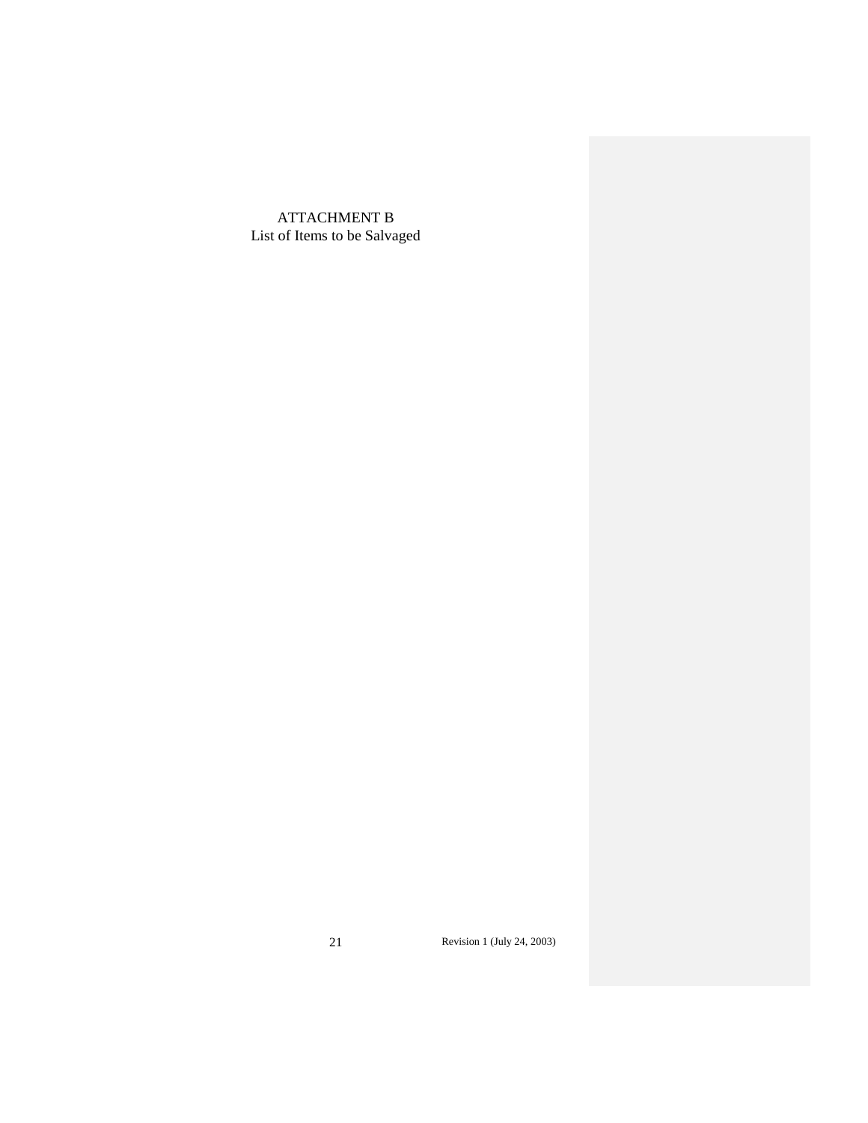ATTACHMENT B List of Items to be Salvaged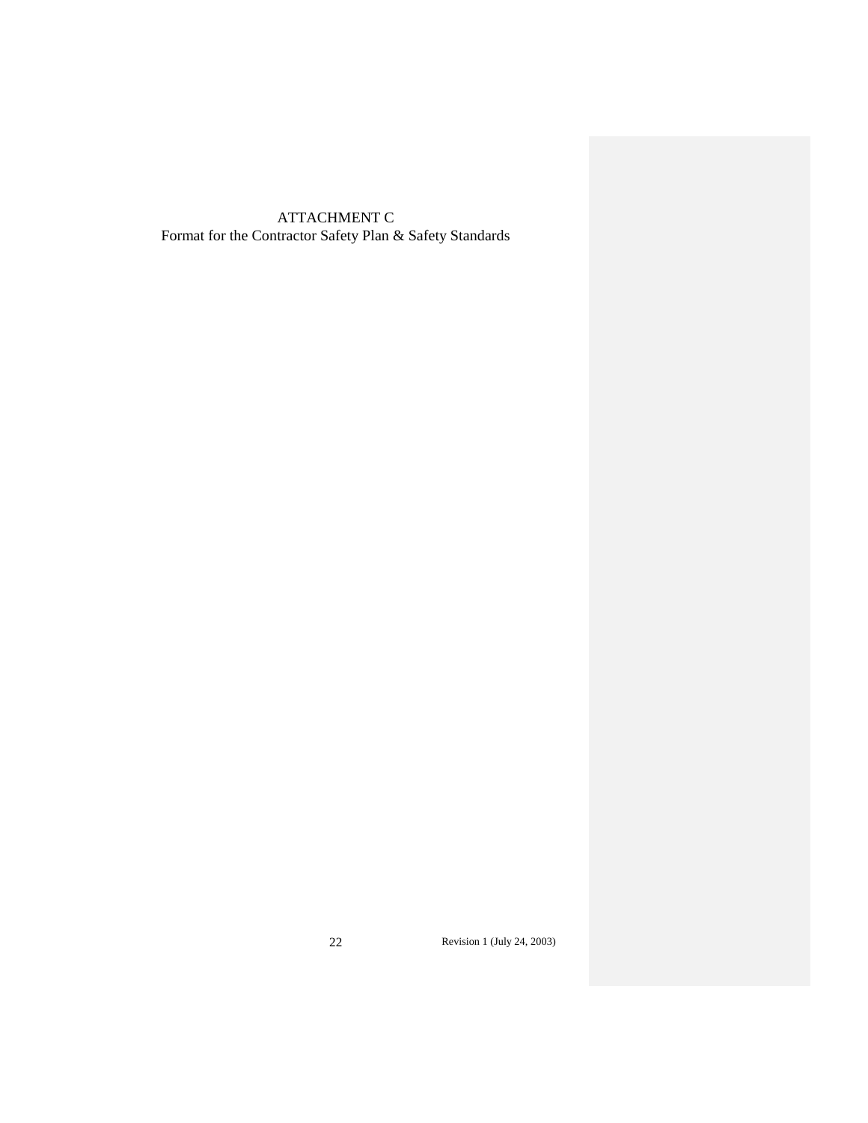# ATTACHMENT C Format for the Contractor Safety Plan & Safety Standards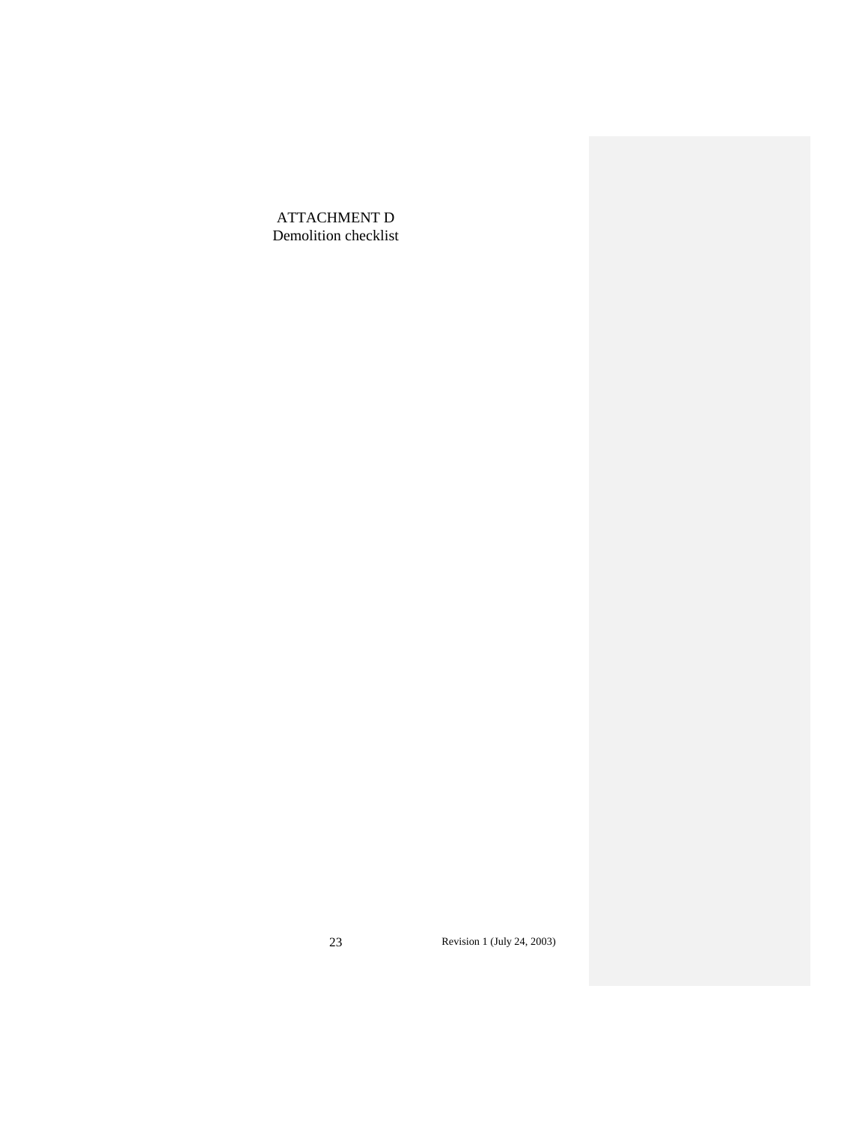ATTACHMENT D Demolition checklist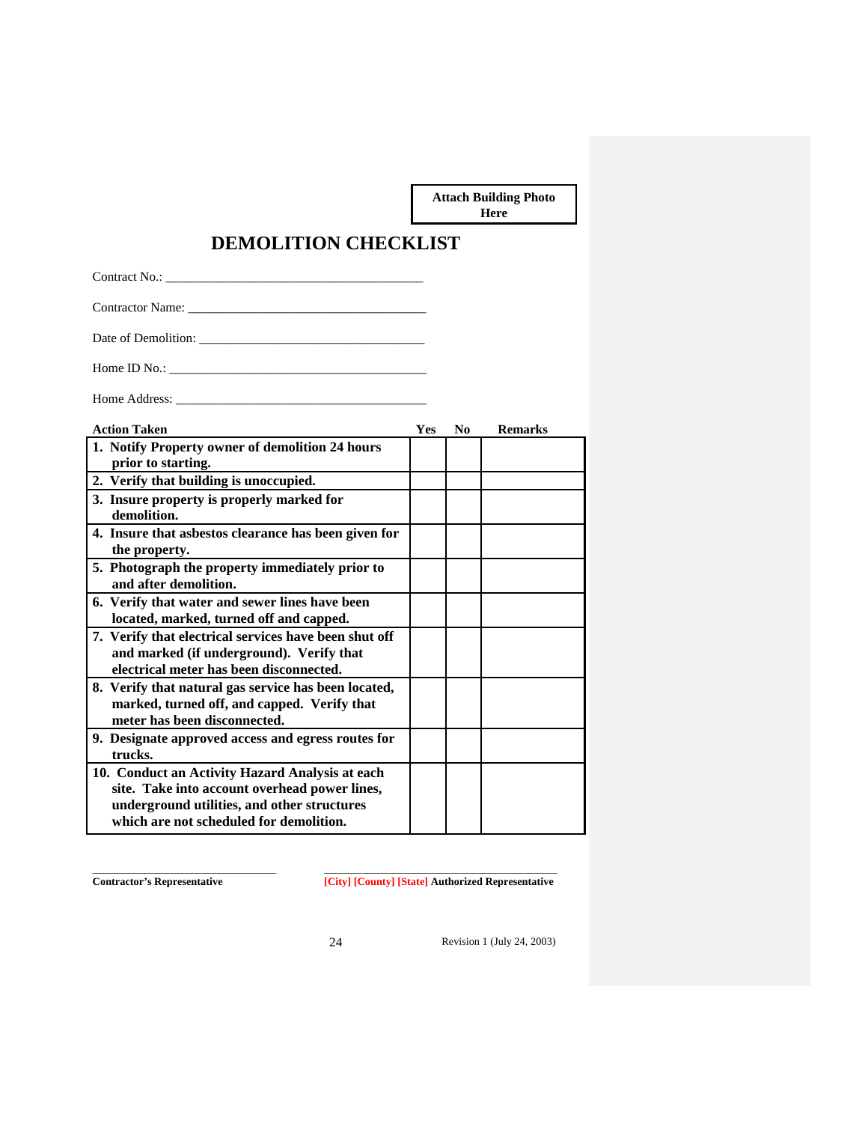**Attach Building Photo Here**

# **DEMOLITION CHECKLIST**

Contract No.: \_\_\_\_\_\_\_\_\_\_\_\_\_\_\_\_\_\_\_\_\_\_\_\_\_\_\_\_\_\_\_\_\_\_\_\_\_\_\_\_

Contractor Name: \_\_\_\_\_\_\_\_\_\_\_\_\_\_\_\_\_\_\_\_\_\_\_\_\_\_\_\_\_\_\_\_\_\_\_\_\_

Date of Demolition: \_\_\_\_\_\_\_\_\_\_\_\_\_\_\_\_\_\_\_\_\_\_\_\_\_\_\_\_\_\_\_\_\_\_\_

Home ID No.: \_\_\_\_\_\_\_\_\_\_\_\_\_\_\_\_\_\_\_\_\_\_\_\_\_\_\_\_\_\_\_\_\_\_\_\_\_\_\_\_

Home Address: \_\_\_\_\_\_\_\_\_\_\_\_\_\_\_\_\_\_\_\_\_\_\_\_\_\_\_\_\_\_\_\_\_\_\_\_\_\_\_

| <b>Action Taken</b>                                                                                                                                                                        | <b>Yes</b> | N <sub>0</sub> | <b>Remarks</b> |
|--------------------------------------------------------------------------------------------------------------------------------------------------------------------------------------------|------------|----------------|----------------|
| 1. Notify Property owner of demolition 24 hours                                                                                                                                            |            |                |                |
| prior to starting.                                                                                                                                                                         |            |                |                |
| 2. Verify that building is unoccupied.                                                                                                                                                     |            |                |                |
| 3. Insure property is properly marked for<br>demolition.                                                                                                                                   |            |                |                |
| 4. Insure that asbestos clearance has been given for<br>the property.                                                                                                                      |            |                |                |
| 5. Photograph the property immediately prior to<br>and after demolition.                                                                                                                   |            |                |                |
| 6. Verify that water and sewer lines have been<br>located, marked, turned off and capped.                                                                                                  |            |                |                |
| 7. Verify that electrical services have been shut off<br>and marked (if underground). Verify that<br>electrical meter has been disconnected.                                               |            |                |                |
| 8. Verify that natural gas service has been located,<br>marked, turned off, and capped. Verify that<br>meter has been disconnected.                                                        |            |                |                |
| 9. Designate approved access and egress routes for<br>trucks.                                                                                                                              |            |                |                |
| 10. Conduct an Activity Hazard Analysis at each<br>site. Take into account overhead power lines,<br>underground utilities, and other structures<br>which are not scheduled for demolition. |            |                |                |

\_\_\_\_\_\_\_\_\_\_\_\_\_\_\_\_\_\_\_\_\_\_\_\_\_\_\_\_\_\_\_\_\_\_ \_\_\_\_\_\_\_\_\_\_\_\_\_\_\_\_\_\_\_\_\_\_\_\_\_\_\_\_\_\_\_\_\_\_\_\_\_\_\_\_\_\_\_ **Contractor's Representative [City] [County] [State] Authorized Representative**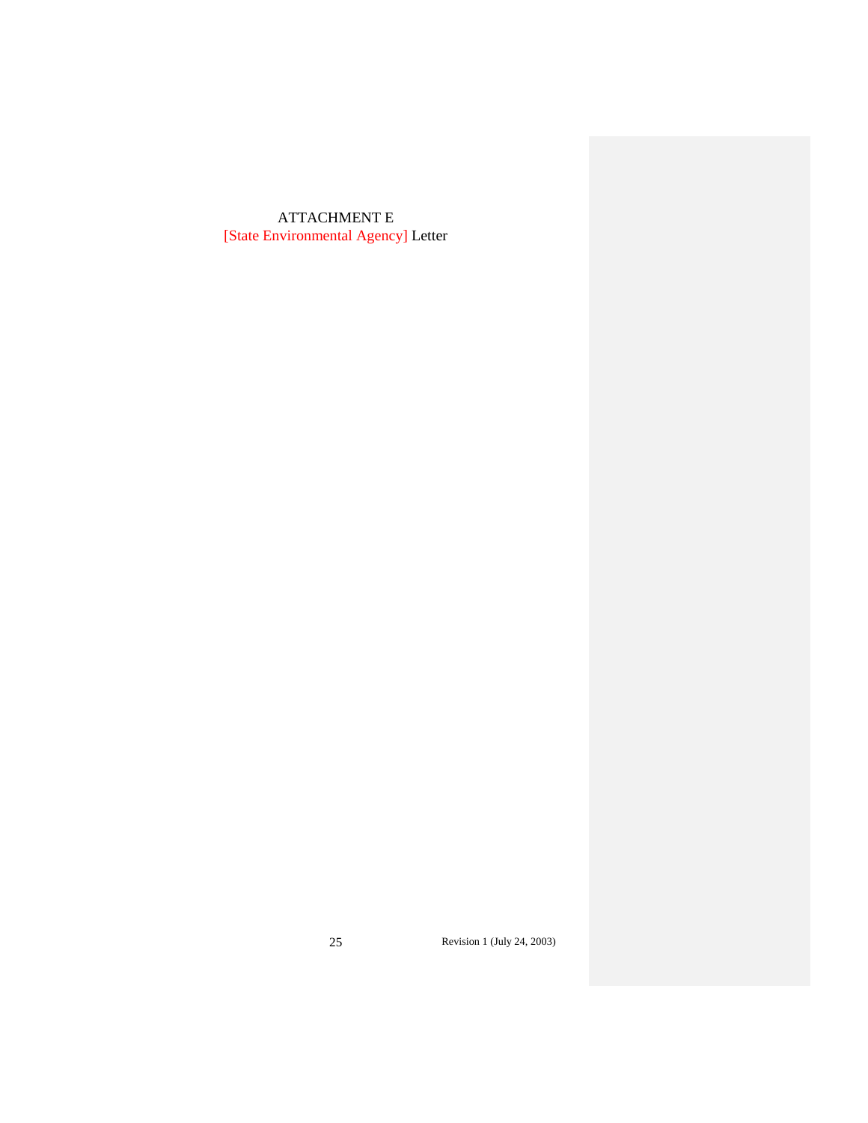# ATTACHMENT E [State Environmental Agency] Letter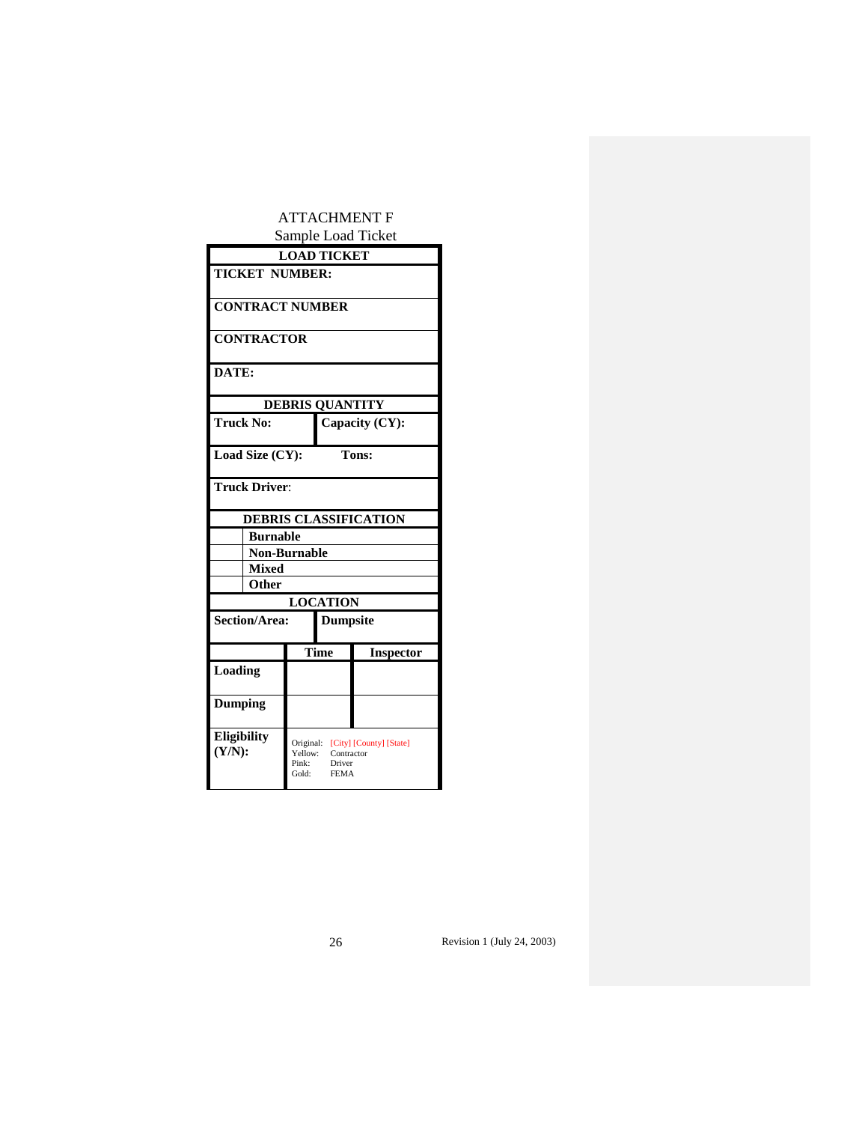# ATTACHMENT F Sample Load Ticket

| Sampic Load Ticket               |                                        |                                     |                              |  |  |
|----------------------------------|----------------------------------------|-------------------------------------|------------------------------|--|--|
|                                  | <b>LOAD TICKET</b>                     |                                     |                              |  |  |
| <b>TICKET NUMBER:</b>            |                                        |                                     |                              |  |  |
|                                  |                                        |                                     |                              |  |  |
| <b>CONTRACT NUMBER</b>           |                                        |                                     |                              |  |  |
| <b>CONTRACTOR</b>                |                                        |                                     |                              |  |  |
|                                  |                                        |                                     |                              |  |  |
| DATE:                            |                                        |                                     |                              |  |  |
|                                  |                                        | <b>DEBRIS QUANTITY</b>              |                              |  |  |
| <b>Truck No:</b>                 |                                        |                                     |                              |  |  |
|                                  |                                        |                                     | Capacity (CY):               |  |  |
| Load Size (CY):                  |                                        |                                     | <b>Tons:</b>                 |  |  |
|                                  |                                        |                                     |                              |  |  |
| <b>Truck Driver:</b>             |                                        |                                     |                              |  |  |
|                                  |                                        |                                     | <b>DEBRIS CLASSIFICATION</b> |  |  |
|                                  | <b>Burnable</b>                        |                                     |                              |  |  |
| <b>Non-Burnable</b>              |                                        |                                     |                              |  |  |
| <b>Mixed</b>                     |                                        |                                     |                              |  |  |
| Other                            |                                        |                                     |                              |  |  |
|                                  |                                        | <b>LOCATION</b>                     |                              |  |  |
| Section/Area:<br><b>Dumpsite</b> |                                        |                                     |                              |  |  |
|                                  |                                        | Time                                | <b>Inspector</b>             |  |  |
| Loading                          |                                        |                                     |                              |  |  |
|                                  |                                        |                                     |                              |  |  |
| Dumping                          |                                        |                                     |                              |  |  |
| <b>Eligibility</b><br>(Y/N):     | Original:<br>Yellow:<br>Pink:<br>Gold: | Contractor<br>Driver<br><b>FEMA</b> | [City] [County] [State]      |  |  |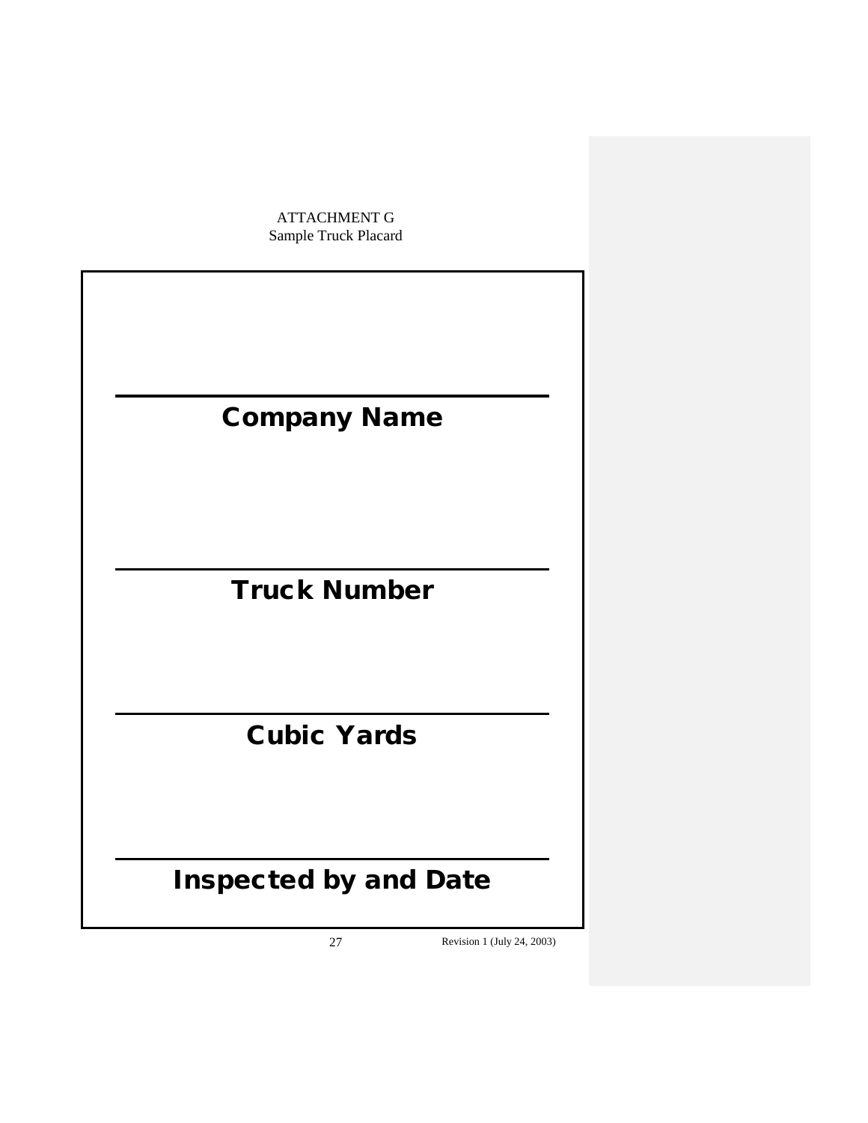ATTACHMENT G Sample Truck Placard

# Company Name

# Truck Number

# Cubic Yards

# Inspected by and Date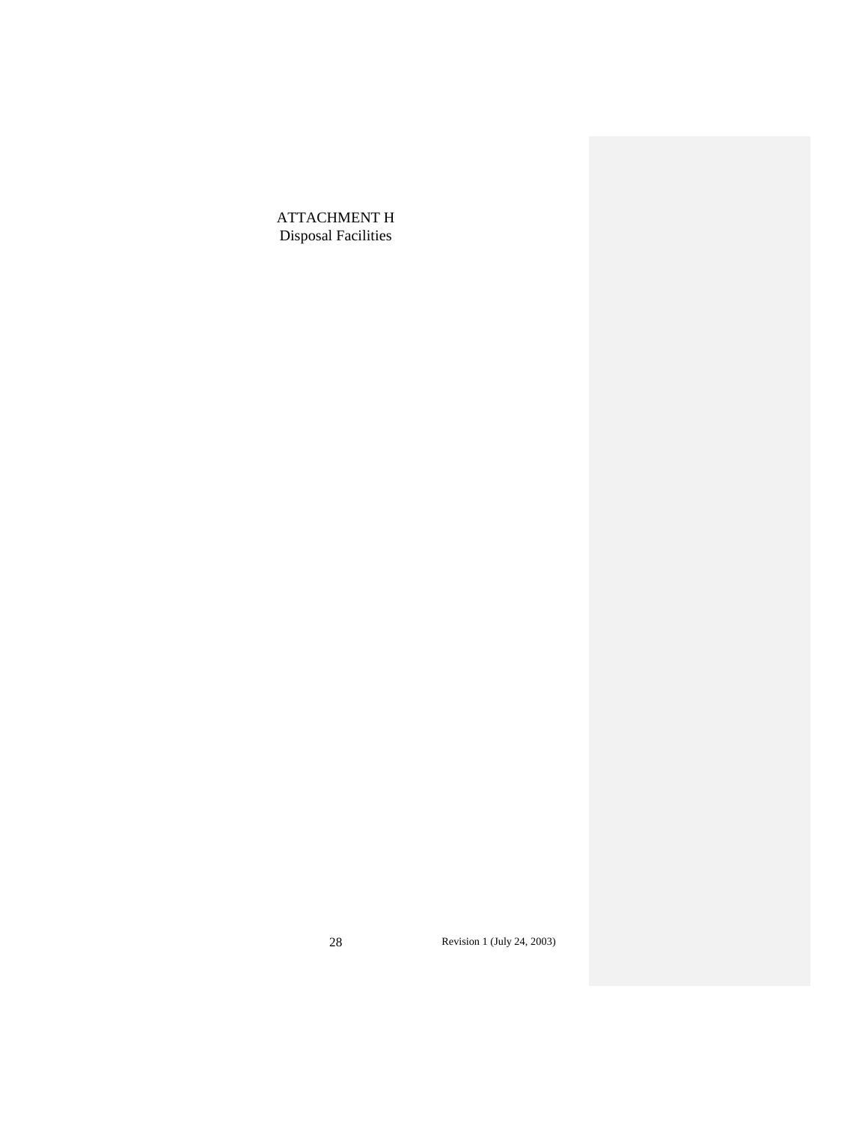ATTACHMENT H Disposal Facilities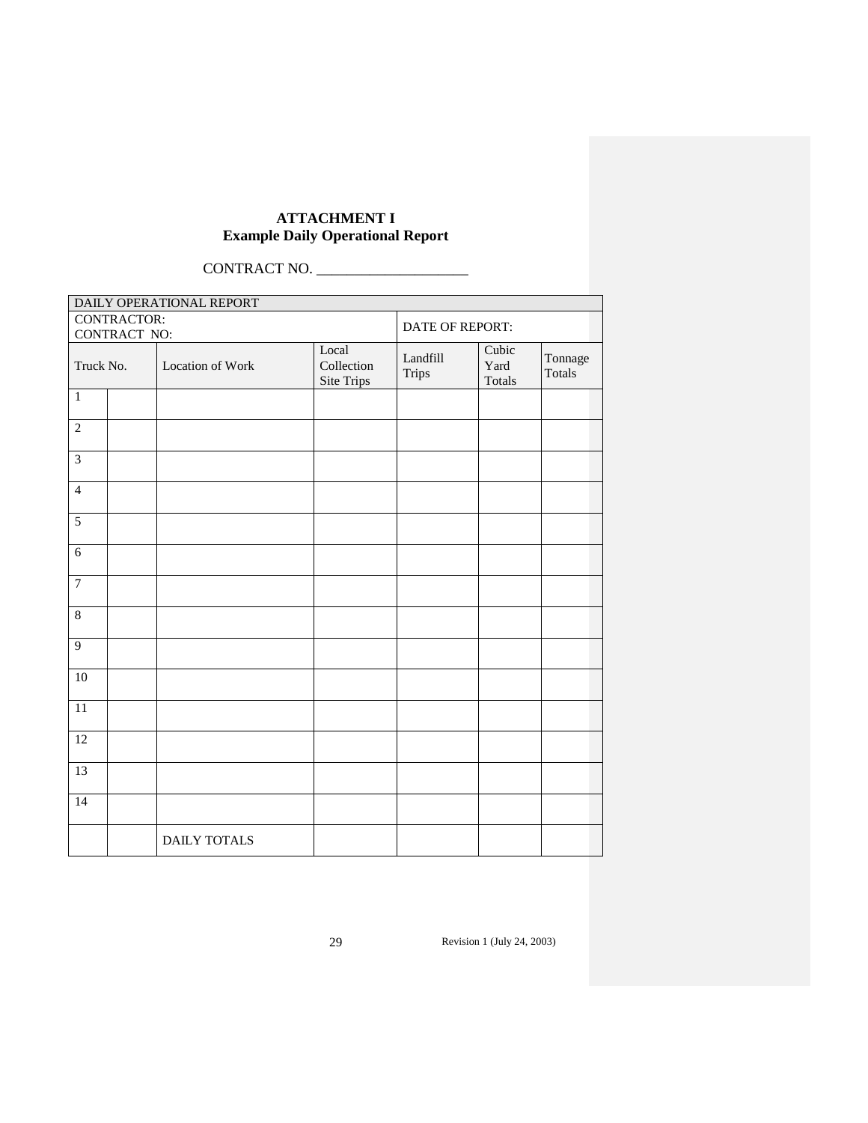# **ATTACHMENT I Example Daily Operational Report**

CONTRACT NO. \_\_\_\_\_\_\_\_\_\_\_\_\_\_\_\_\_\_\_\_

| DAILY OPERATIONAL REPORT |                     |                                   |                   |                         |                   |  |  |
|--------------------------|---------------------|-----------------------------------|-------------------|-------------------------|-------------------|--|--|
| CONTRACTOR:              |                     | DATE OF REPORT:                   |                   |                         |                   |  |  |
| CONTRACT NO:             |                     |                                   |                   |                         |                   |  |  |
| Truck No.                | Location of Work    | Local<br>Collection<br>Site Trips | Landfill<br>Trips | Cubic<br>Yard<br>Totals | Tonnage<br>Totals |  |  |
| $\mathbf 1$              |                     |                                   |                   |                         |                   |  |  |
| $\overline{2}$           |                     |                                   |                   |                         |                   |  |  |
| $\overline{3}$           |                     |                                   |                   |                         |                   |  |  |
| $\overline{4}$           |                     |                                   |                   |                         |                   |  |  |
| 5                        |                     |                                   |                   |                         |                   |  |  |
| $\overline{6}$           |                     |                                   |                   |                         |                   |  |  |
| $\overline{7}$           |                     |                                   |                   |                         |                   |  |  |
| $\,8\,$                  |                     |                                   |                   |                         |                   |  |  |
| $\overline{9}$           |                     |                                   |                   |                         |                   |  |  |
| 10                       |                     |                                   |                   |                         |                   |  |  |
| 11                       |                     |                                   |                   |                         |                   |  |  |
| 12                       |                     |                                   |                   |                         |                   |  |  |
| 13                       |                     |                                   |                   |                         |                   |  |  |
| $\overline{14}$          |                     |                                   |                   |                         |                   |  |  |
|                          | <b>DAILY TOTALS</b> |                                   |                   |                         |                   |  |  |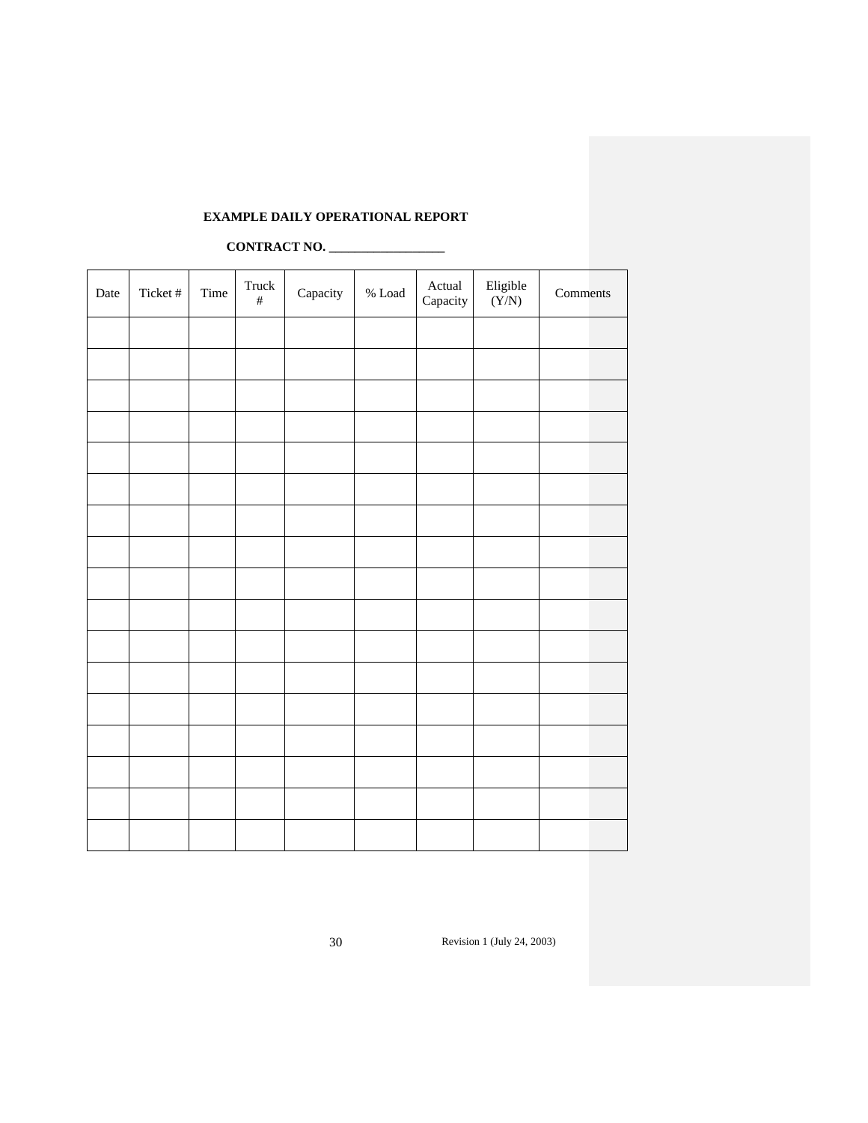# **EXAMPLE DAILY OPERATIONAL REPORT**

# **CONTRACT NO. \_\_\_\_\_\_\_\_\_\_\_\_\_\_\_\_\_\_**

| Date | Ticket # | Time | Truck<br>$\#$ | Capacity | $\%$ Load | Actual<br>Capacity | Eligible $(Y/N)$ | Comments |
|------|----------|------|---------------|----------|-----------|--------------------|------------------|----------|
|      |          |      |               |          |           |                    |                  |          |
|      |          |      |               |          |           |                    |                  |          |
|      |          |      |               |          |           |                    |                  |          |
|      |          |      |               |          |           |                    |                  |          |
|      |          |      |               |          |           |                    |                  |          |
|      |          |      |               |          |           |                    |                  |          |
|      |          |      |               |          |           |                    |                  |          |
|      |          |      |               |          |           |                    |                  |          |
|      |          |      |               |          |           |                    |                  |          |
|      |          |      |               |          |           |                    |                  |          |
|      |          |      |               |          |           |                    |                  |          |
|      |          |      |               |          |           |                    |                  |          |
|      |          |      |               |          |           |                    |                  |          |
|      |          |      |               |          |           |                    |                  |          |
|      |          |      |               |          |           |                    |                  |          |
|      |          |      |               |          |           |                    |                  |          |
|      |          |      |               |          |           |                    |                  |          |